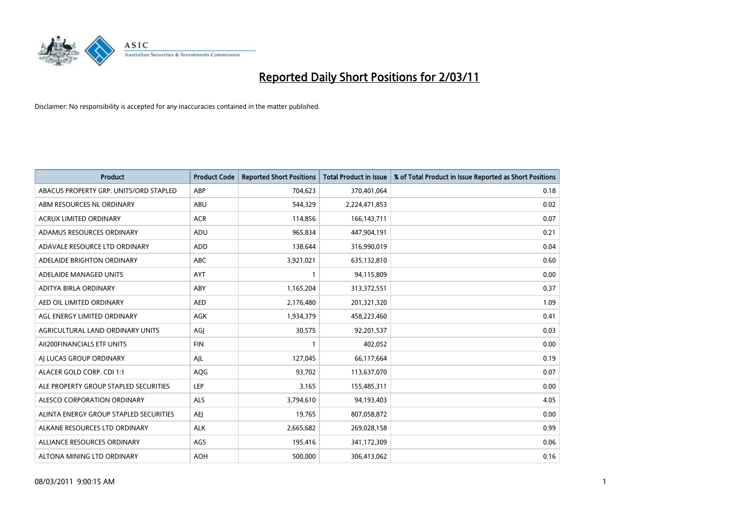

| <b>Product</b>                         | <b>Product Code</b> | <b>Reported Short Positions</b> | <b>Total Product in Issue</b> | % of Total Product in Issue Reported as Short Positions |
|----------------------------------------|---------------------|---------------------------------|-------------------------------|---------------------------------------------------------|
| ABACUS PROPERTY GRP. UNITS/ORD STAPLED | ABP                 | 704,623                         | 370,401,064                   | 0.18                                                    |
| ABM RESOURCES NL ORDINARY              | ABU                 | 544,329                         | 2,224,471,853                 | 0.02                                                    |
| <b>ACRUX LIMITED ORDINARY</b>          | <b>ACR</b>          | 114,856                         | 166, 143, 711                 | 0.07                                                    |
| ADAMUS RESOURCES ORDINARY              | ADU                 | 965,834                         | 447,904,191                   | 0.21                                                    |
| ADAVALE RESOURCE LTD ORDINARY          | ADD                 | 138,644                         | 316,990,019                   | 0.04                                                    |
| ADELAIDE BRIGHTON ORDINARY             | <b>ABC</b>          | 3,921,021                       | 635,132,810                   | 0.60                                                    |
| ADELAIDE MANAGED UNITS                 | <b>AYT</b>          |                                 | 94,115,809                    | 0.00                                                    |
| ADITYA BIRLA ORDINARY                  | ABY                 | 1,165,204                       | 313,372,551                   | 0.37                                                    |
| AED OIL LIMITED ORDINARY               | <b>AED</b>          | 2,176,480                       | 201,321,320                   | 1.09                                                    |
| AGL ENERGY LIMITED ORDINARY            | <b>AGK</b>          | 1,934,379                       | 458,223,460                   | 0.41                                                    |
| AGRICULTURAL LAND ORDINARY UNITS       | AGJ                 | 30,575                          | 92,201,537                    | 0.03                                                    |
| AII200FINANCIALS ETF UNITS             | <b>FIN</b>          |                                 | 402,052                       | 0.00                                                    |
| AI LUCAS GROUP ORDINARY                | AJL                 | 127,045                         | 66,117,664                    | 0.19                                                    |
| ALACER GOLD CORP. CDI 1:1              | AQG                 | 93,702                          | 113,637,070                   | 0.07                                                    |
| ALE PROPERTY GROUP STAPLED SECURITIES  | LEP                 | 3,165                           | 155,485,311                   | 0.00                                                    |
| ALESCO CORPORATION ORDINARY            | ALS                 | 3,794,610                       | 94,193,403                    | 4.05                                                    |
| ALINTA ENERGY GROUP STAPLED SECURITIES | <b>AEI</b>          | 19,765                          | 807,058,872                   | 0.00                                                    |
| ALKANE RESOURCES LTD ORDINARY          | <b>ALK</b>          | 2,665,682                       | 269,028,158                   | 0.99                                                    |
| ALLIANCE RESOURCES ORDINARY            | AGS                 | 195,416                         | 341,172,309                   | 0.06                                                    |
| ALTONA MINING LTD ORDINARY             | <b>AOH</b>          | 500.000                         | 306,413,062                   | 0.16                                                    |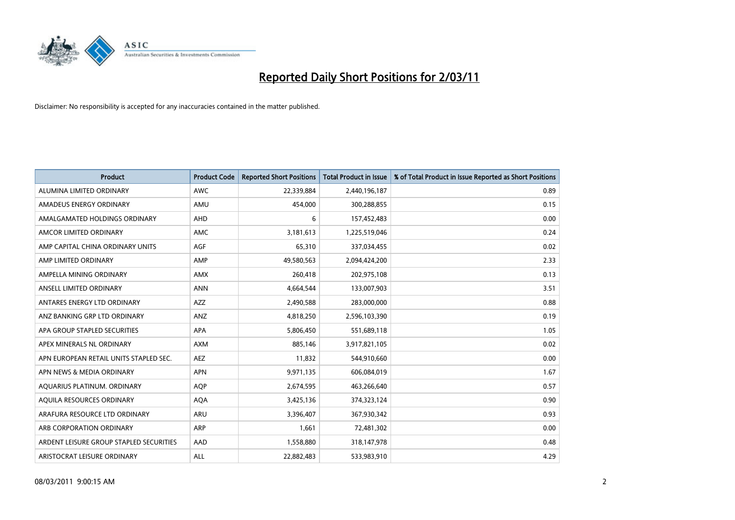

| <b>Product</b>                          | <b>Product Code</b> | <b>Reported Short Positions</b> | Total Product in Issue | % of Total Product in Issue Reported as Short Positions |
|-----------------------------------------|---------------------|---------------------------------|------------------------|---------------------------------------------------------|
| ALUMINA LIMITED ORDINARY                | <b>AWC</b>          | 22,339,884                      | 2,440,196,187          | 0.89                                                    |
| AMADEUS ENERGY ORDINARY                 | AMU                 | 454,000                         | 300,288,855            | 0.15                                                    |
| AMALGAMATED HOLDINGS ORDINARY           | <b>AHD</b>          | 6                               | 157,452,483            | 0.00                                                    |
| AMCOR LIMITED ORDINARY                  | <b>AMC</b>          | 3,181,613                       | 1,225,519,046          | 0.24                                                    |
| AMP CAPITAL CHINA ORDINARY UNITS        | <b>AGF</b>          | 65,310                          | 337,034,455            | 0.02                                                    |
| AMP LIMITED ORDINARY                    | AMP                 | 49,580,563                      | 2,094,424,200          | 2.33                                                    |
| AMPELLA MINING ORDINARY                 | <b>AMX</b>          | 260,418                         | 202,975,108            | 0.13                                                    |
| ANSELL LIMITED ORDINARY                 | <b>ANN</b>          | 4,664,544                       | 133,007,903            | 3.51                                                    |
| ANTARES ENERGY LTD ORDINARY             | <b>AZZ</b>          | 2,490,588                       | 283,000,000            | 0.88                                                    |
| ANZ BANKING GRP LTD ORDINARY            | ANZ                 | 4,818,250                       | 2,596,103,390          | 0.19                                                    |
| APA GROUP STAPLED SECURITIES            | <b>APA</b>          | 5,806,450                       | 551,689,118            | 1.05                                                    |
| APEX MINERALS NL ORDINARY               | <b>AXM</b>          | 885,146                         | 3,917,821,105          | 0.02                                                    |
| APN EUROPEAN RETAIL UNITS STAPLED SEC.  | <b>AEZ</b>          | 11,832                          | 544,910,660            | 0.00                                                    |
| APN NEWS & MEDIA ORDINARY               | <b>APN</b>          | 9,971,135                       | 606,084,019            | 1.67                                                    |
| AQUARIUS PLATINUM. ORDINARY             | <b>AOP</b>          | 2,674,595                       | 463,266,640            | 0.57                                                    |
| AQUILA RESOURCES ORDINARY               | <b>AQA</b>          | 3,425,136                       | 374,323,124            | 0.90                                                    |
| ARAFURA RESOURCE LTD ORDINARY           | <b>ARU</b>          | 3,396,407                       | 367,930,342            | 0.93                                                    |
| ARB CORPORATION ORDINARY                | <b>ARP</b>          | 1,661                           | 72,481,302             | 0.00                                                    |
| ARDENT LEISURE GROUP STAPLED SECURITIES | AAD                 | 1,558,880                       | 318,147,978            | 0.48                                                    |
| ARISTOCRAT LEISURE ORDINARY             | <b>ALL</b>          | 22,882,483                      | 533,983,910            | 4.29                                                    |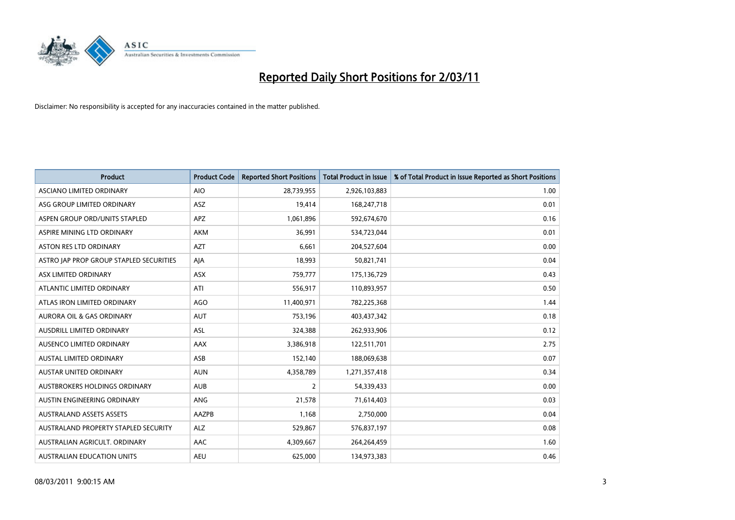

| <b>Product</b>                          | <b>Product Code</b> | <b>Reported Short Positions</b> | <b>Total Product in Issue</b> | % of Total Product in Issue Reported as Short Positions |
|-----------------------------------------|---------------------|---------------------------------|-------------------------------|---------------------------------------------------------|
| <b>ASCIANO LIMITED ORDINARY</b>         | <b>AIO</b>          | 28,739,955                      | 2,926,103,883                 | 1.00                                                    |
| ASG GROUP LIMITED ORDINARY              | ASZ                 | 19,414                          | 168,247,718                   | 0.01                                                    |
| ASPEN GROUP ORD/UNITS STAPLED           | <b>APZ</b>          | 1,061,896                       | 592,674,670                   | 0.16                                                    |
| ASPIRE MINING LTD ORDINARY              | <b>AKM</b>          | 36,991                          | 534,723,044                   | 0.01                                                    |
| <b>ASTON RES LTD ORDINARY</b>           | <b>AZT</b>          | 6,661                           | 204,527,604                   | 0.00                                                    |
| ASTRO JAP PROP GROUP STAPLED SECURITIES | AJA                 | 18,993                          | 50,821,741                    | 0.04                                                    |
| ASX LIMITED ORDINARY                    | <b>ASX</b>          | 759,777                         | 175,136,729                   | 0.43                                                    |
| ATLANTIC LIMITED ORDINARY               | ATI                 | 556,917                         | 110,893,957                   | 0.50                                                    |
| ATLAS IRON LIMITED ORDINARY             | <b>AGO</b>          | 11,400,971                      | 782,225,368                   | 1.44                                                    |
| <b>AURORA OIL &amp; GAS ORDINARY</b>    | <b>AUT</b>          | 753,196                         | 403,437,342                   | 0.18                                                    |
| AUSDRILL LIMITED ORDINARY               | <b>ASL</b>          | 324,388                         | 262,933,906                   | 0.12                                                    |
| <b>AUSENCO LIMITED ORDINARY</b>         | AAX                 | 3,386,918                       | 122,511,701                   | 2.75                                                    |
| AUSTAL LIMITED ORDINARY                 | ASB                 | 152,140                         | 188,069,638                   | 0.07                                                    |
| <b>AUSTAR UNITED ORDINARY</b>           | <b>AUN</b>          | 4,358,789                       | 1,271,357,418                 | 0.34                                                    |
| <b>AUSTBROKERS HOLDINGS ORDINARY</b>    | <b>AUB</b>          | $\overline{2}$                  | 54,339,433                    | 0.00                                                    |
| AUSTIN ENGINEERING ORDINARY             | <b>ANG</b>          | 21,578                          | 71,614,403                    | 0.03                                                    |
| <b>AUSTRALAND ASSETS ASSETS</b>         | AAZPB               | 1,168                           | 2,750,000                     | 0.04                                                    |
| AUSTRALAND PROPERTY STAPLED SECURITY    | <b>ALZ</b>          | 529,867                         | 576,837,197                   | 0.08                                                    |
| AUSTRALIAN AGRICULT, ORDINARY           | AAC                 | 4,309,667                       | 264,264,459                   | 1.60                                                    |
| <b>AUSTRALIAN EDUCATION UNITS</b>       | <b>AEU</b>          | 625.000                         | 134,973,383                   | 0.46                                                    |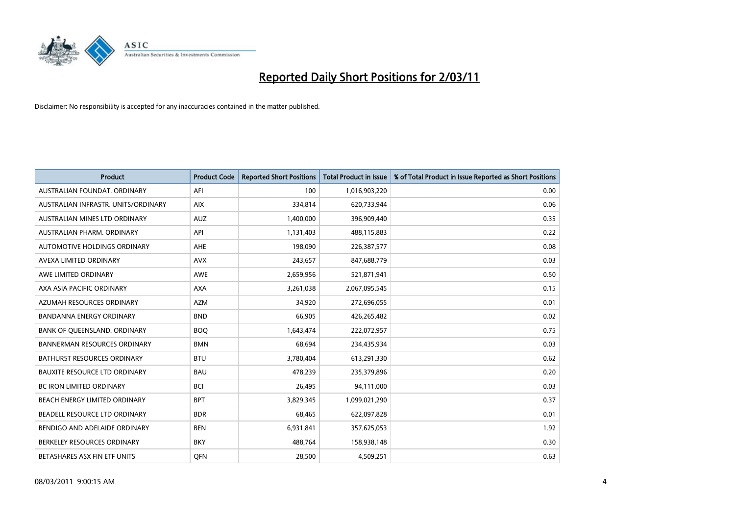

| <b>Product</b>                       | <b>Product Code</b> | <b>Reported Short Positions</b> | <b>Total Product in Issue</b> | % of Total Product in Issue Reported as Short Positions |
|--------------------------------------|---------------------|---------------------------------|-------------------------------|---------------------------------------------------------|
| AUSTRALIAN FOUNDAT, ORDINARY         | AFI                 | 100                             | 1,016,903,220                 | 0.00                                                    |
| AUSTRALIAN INFRASTR. UNITS/ORDINARY  | <b>AIX</b>          | 334,814                         | 620,733,944                   | 0.06                                                    |
| AUSTRALIAN MINES LTD ORDINARY        | <b>AUZ</b>          | 1,400,000                       | 396,909,440                   | 0.35                                                    |
| AUSTRALIAN PHARM. ORDINARY           | API                 | 1,131,403                       | 488,115,883                   | 0.22                                                    |
| <b>AUTOMOTIVE HOLDINGS ORDINARY</b>  | AHE                 | 198,090                         | 226,387,577                   | 0.08                                                    |
| AVEXA LIMITED ORDINARY               | <b>AVX</b>          | 243,657                         | 847,688,779                   | 0.03                                                    |
| AWE LIMITED ORDINARY                 | <b>AWE</b>          | 2,659,956                       | 521,871,941                   | 0.50                                                    |
| AXA ASIA PACIFIC ORDINARY            | <b>AXA</b>          | 3,261,038                       | 2,067,095,545                 | 0.15                                                    |
| AZUMAH RESOURCES ORDINARY            | <b>AZM</b>          | 34,920                          | 272,696,055                   | 0.01                                                    |
| <b>BANDANNA ENERGY ORDINARY</b>      | <b>BND</b>          | 66,905                          | 426,265,482                   | 0.02                                                    |
| BANK OF QUEENSLAND. ORDINARY         | <b>BOO</b>          | 1,643,474                       | 222,072,957                   | 0.75                                                    |
| <b>BANNERMAN RESOURCES ORDINARY</b>  | <b>BMN</b>          | 68.694                          | 234,435,934                   | 0.03                                                    |
| BATHURST RESOURCES ORDINARY          | <b>BTU</b>          | 3,780,404                       | 613,291,330                   | 0.62                                                    |
| <b>BAUXITE RESOURCE LTD ORDINARY</b> | <b>BAU</b>          | 478,239                         | 235,379,896                   | 0.20                                                    |
| <b>BC IRON LIMITED ORDINARY</b>      | <b>BCI</b>          | 26,495                          | 94,111,000                    | 0.03                                                    |
| BEACH ENERGY LIMITED ORDINARY        | <b>BPT</b>          | 3,829,345                       | 1,099,021,290                 | 0.37                                                    |
| BEADELL RESOURCE LTD ORDINARY        | <b>BDR</b>          | 68,465                          | 622,097,828                   | 0.01                                                    |
| BENDIGO AND ADELAIDE ORDINARY        | <b>BEN</b>          | 6,931,841                       | 357,625,053                   | 1.92                                                    |
| BERKELEY RESOURCES ORDINARY          | <b>BKY</b>          | 488.764                         | 158,938,148                   | 0.30                                                    |
| BETASHARES ASX FIN ETF UNITS         | <b>OFN</b>          | 28,500                          | 4,509,251                     | 0.63                                                    |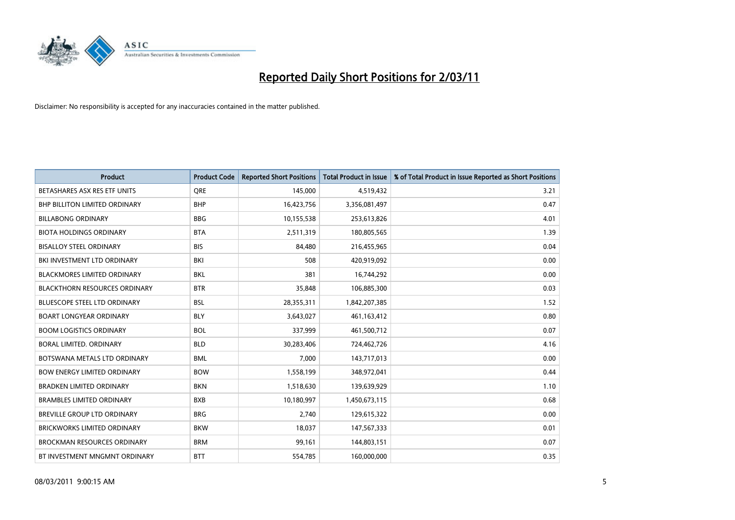

| <b>Product</b>                       | <b>Product Code</b> | <b>Reported Short Positions</b> | <b>Total Product in Issue</b> | % of Total Product in Issue Reported as Short Positions |
|--------------------------------------|---------------------|---------------------------------|-------------------------------|---------------------------------------------------------|
| BETASHARES ASX RES ETF UNITS         | <b>ORE</b>          | 145,000                         | 4,519,432                     | 3.21                                                    |
| BHP BILLITON LIMITED ORDINARY        | <b>BHP</b>          | 16,423,756                      | 3,356,081,497                 | 0.47                                                    |
| <b>BILLABONG ORDINARY</b>            | <b>BBG</b>          | 10,155,538                      | 253,613,826                   | 4.01                                                    |
| <b>BIOTA HOLDINGS ORDINARY</b>       | <b>BTA</b>          | 2,511,319                       | 180,805,565                   | 1.39                                                    |
| <b>BISALLOY STEEL ORDINARY</b>       | <b>BIS</b>          | 84,480                          | 216,455,965                   | 0.04                                                    |
| BKI INVESTMENT LTD ORDINARY          | <b>BKI</b>          | 508                             | 420,919,092                   | 0.00                                                    |
| <b>BLACKMORES LIMITED ORDINARY</b>   | <b>BKL</b>          | 381                             | 16,744,292                    | 0.00                                                    |
| <b>BLACKTHORN RESOURCES ORDINARY</b> | <b>BTR</b>          | 35,848                          | 106,885,300                   | 0.03                                                    |
| BLUESCOPE STEEL LTD ORDINARY         | <b>BSL</b>          | 28,355,311                      | 1,842,207,385                 | 1.52                                                    |
| <b>BOART LONGYEAR ORDINARY</b>       | <b>BLY</b>          | 3,643,027                       | 461,163,412                   | 0.80                                                    |
| <b>BOOM LOGISTICS ORDINARY</b>       | <b>BOL</b>          | 337,999                         | 461,500,712                   | 0.07                                                    |
| BORAL LIMITED, ORDINARY              | <b>BLD</b>          | 30,283,406                      | 724,462,726                   | 4.16                                                    |
| BOTSWANA METALS LTD ORDINARY         | <b>BML</b>          | 7,000                           | 143,717,013                   | 0.00                                                    |
| <b>BOW ENERGY LIMITED ORDINARY</b>   | <b>BOW</b>          | 1,558,199                       | 348,972,041                   | 0.44                                                    |
| <b>BRADKEN LIMITED ORDINARY</b>      | <b>BKN</b>          | 1,518,630                       | 139,639,929                   | 1.10                                                    |
| <b>BRAMBLES LIMITED ORDINARY</b>     | <b>BXB</b>          | 10,180,997                      | 1,450,673,115                 | 0.68                                                    |
| BREVILLE GROUP LTD ORDINARY          | <b>BRG</b>          | 2,740                           | 129,615,322                   | 0.00                                                    |
| <b>BRICKWORKS LIMITED ORDINARY</b>   | <b>BKW</b>          | 18,037                          | 147,567,333                   | 0.01                                                    |
| <b>BROCKMAN RESOURCES ORDINARY</b>   | <b>BRM</b>          | 99,161                          | 144,803,151                   | 0.07                                                    |
| BT INVESTMENT MNGMNT ORDINARY        | <b>BTT</b>          | 554,785                         | 160,000,000                   | 0.35                                                    |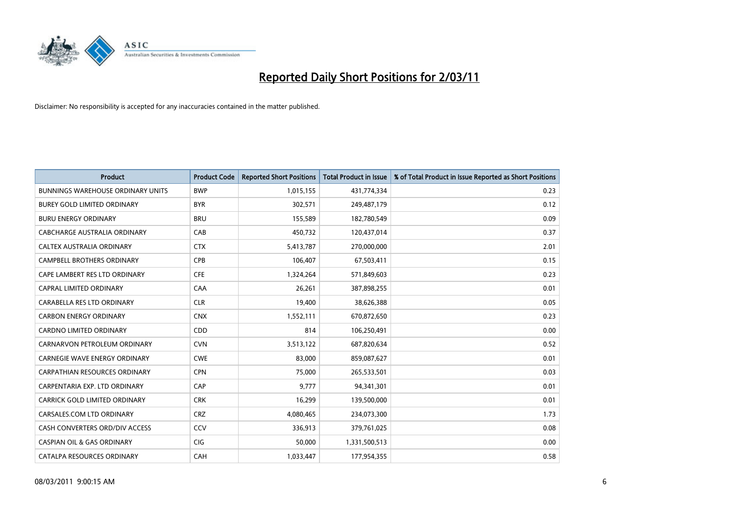

| <b>Product</b>                           | <b>Product Code</b> | <b>Reported Short Positions</b> | Total Product in Issue | % of Total Product in Issue Reported as Short Positions |
|------------------------------------------|---------------------|---------------------------------|------------------------|---------------------------------------------------------|
| <b>BUNNINGS WAREHOUSE ORDINARY UNITS</b> | <b>BWP</b>          | 1,015,155                       | 431,774,334            | 0.23                                                    |
| BUREY GOLD LIMITED ORDINARY              | <b>BYR</b>          | 302,571                         | 249,487,179            | 0.12                                                    |
| <b>BURU ENERGY ORDINARY</b>              | <b>BRU</b>          | 155,589                         | 182,780,549            | 0.09                                                    |
| CABCHARGE AUSTRALIA ORDINARY             | CAB                 | 450,732                         | 120,437,014            | 0.37                                                    |
| CALTEX AUSTRALIA ORDINARY                | <b>CTX</b>          | 5,413,787                       | 270,000,000            | 2.01                                                    |
| <b>CAMPBELL BROTHERS ORDINARY</b>        | <b>CPB</b>          | 106.407                         | 67,503,411             | 0.15                                                    |
| CAPE LAMBERT RES LTD ORDINARY            | <b>CFE</b>          | 1,324,264                       | 571,849,603            | 0.23                                                    |
| CAPRAL LIMITED ORDINARY                  | CAA                 | 26,261                          | 387,898,255            | 0.01                                                    |
| CARABELLA RES LTD ORDINARY               | <b>CLR</b>          | 19,400                          | 38,626,388             | 0.05                                                    |
| <b>CARBON ENERGY ORDINARY</b>            | <b>CNX</b>          | 1,552,111                       | 670,872,650            | 0.23                                                    |
| <b>CARDNO LIMITED ORDINARY</b>           | CDD                 | 814                             | 106,250,491            | 0.00                                                    |
| CARNARVON PETROLEUM ORDINARY             | <b>CVN</b>          | 3,513,122                       | 687,820,634            | 0.52                                                    |
| <b>CARNEGIE WAVE ENERGY ORDINARY</b>     | <b>CWE</b>          | 83.000                          | 859,087,627            | 0.01                                                    |
| <b>CARPATHIAN RESOURCES ORDINARY</b>     | <b>CPN</b>          | 75,000                          | 265,533,501            | 0.03                                                    |
| CARPENTARIA EXP. LTD ORDINARY            | CAP                 | 9,777                           | 94,341,301             | 0.01                                                    |
| CARRICK GOLD LIMITED ORDINARY            | <b>CRK</b>          | 16,299                          | 139,500,000            | 0.01                                                    |
| CARSALES.COM LTD ORDINARY                | <b>CRZ</b>          | 4,080,465                       | 234,073,300            | 1.73                                                    |
| CASH CONVERTERS ORD/DIV ACCESS           | CCV                 | 336,913                         | 379,761,025            | 0.08                                                    |
| <b>CASPIAN OIL &amp; GAS ORDINARY</b>    | CIG                 | 50,000                          | 1,331,500,513          | 0.00                                                    |
| CATALPA RESOURCES ORDINARY               | CAH                 | 1,033,447                       | 177,954,355            | 0.58                                                    |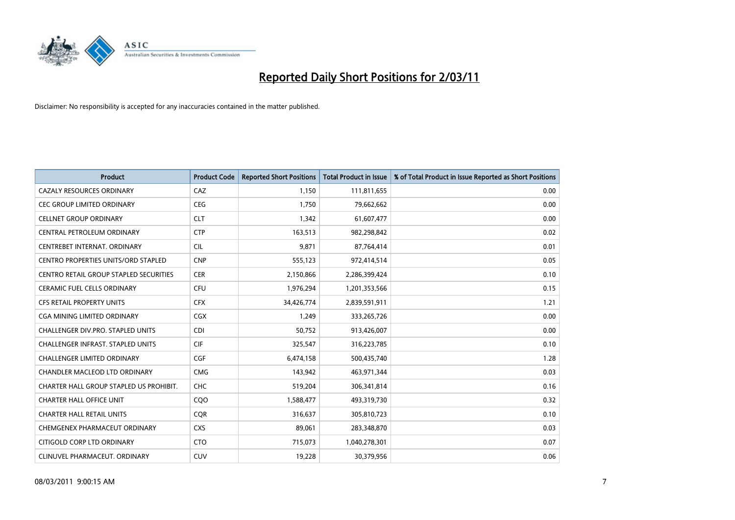

| <b>Product</b>                                | <b>Product Code</b> | <b>Reported Short Positions</b> | <b>Total Product in Issue</b> | % of Total Product in Issue Reported as Short Positions |
|-----------------------------------------------|---------------------|---------------------------------|-------------------------------|---------------------------------------------------------|
| <b>CAZALY RESOURCES ORDINARY</b>              | CAZ                 | 1,150                           | 111,811,655                   | 0.00                                                    |
| CEC GROUP LIMITED ORDINARY                    | <b>CEG</b>          | 1,750                           | 79,662,662                    | 0.00                                                    |
| <b>CELLNET GROUP ORDINARY</b>                 | <b>CLT</b>          | 1,342                           | 61,607,477                    | 0.00                                                    |
| CENTRAL PETROLEUM ORDINARY                    | <b>CTP</b>          | 163,513                         | 982,298,842                   | 0.02                                                    |
| CENTREBET INTERNAT, ORDINARY                  | CIL                 | 9,871                           | 87,764,414                    | 0.01                                                    |
| <b>CENTRO PROPERTIES UNITS/ORD STAPLED</b>    | <b>CNP</b>          | 555,123                         | 972,414,514                   | 0.05                                                    |
| <b>CENTRO RETAIL GROUP STAPLED SECURITIES</b> | <b>CER</b>          | 2,150,866                       | 2,286,399,424                 | 0.10                                                    |
| CERAMIC FUEL CELLS ORDINARY                   | <b>CFU</b>          | 1,976,294                       | 1,201,353,566                 | 0.15                                                    |
| CFS RETAIL PROPERTY UNITS                     | <b>CFX</b>          | 34,426,774                      | 2,839,591,911                 | 1.21                                                    |
| CGA MINING LIMITED ORDINARY                   | <b>CGX</b>          | 1,249                           | 333,265,726                   | 0.00                                                    |
| CHALLENGER DIV.PRO. STAPLED UNITS             | <b>CDI</b>          | 50,752                          | 913,426,007                   | 0.00                                                    |
| <b>CHALLENGER INFRAST, STAPLED UNITS</b>      | CIF                 | 325,547                         | 316,223,785                   | 0.10                                                    |
| <b>CHALLENGER LIMITED ORDINARY</b>            | CGF                 | 6,474,158                       | 500,435,740                   | 1.28                                                    |
| <b>CHANDLER MACLEOD LTD ORDINARY</b>          | <b>CMG</b>          | 143,942                         | 463,971,344                   | 0.03                                                    |
| CHARTER HALL GROUP STAPLED US PROHIBIT.       | <b>CHC</b>          | 519,204                         | 306,341,814                   | 0.16                                                    |
| <b>CHARTER HALL OFFICE UNIT</b>               | COO                 | 1,588,477                       | 493,319,730                   | 0.32                                                    |
| <b>CHARTER HALL RETAIL UNITS</b>              | <b>CQR</b>          | 316,637                         | 305,810,723                   | 0.10                                                    |
| CHEMGENEX PHARMACEUT ORDINARY                 | <b>CXS</b>          | 89,061                          | 283,348,870                   | 0.03                                                    |
| CITIGOLD CORP LTD ORDINARY                    | <b>CTO</b>          | 715,073                         | 1,040,278,301                 | 0.07                                                    |
| CLINUVEL PHARMACEUT. ORDINARY                 | <b>CUV</b>          | 19,228                          | 30,379,956                    | 0.06                                                    |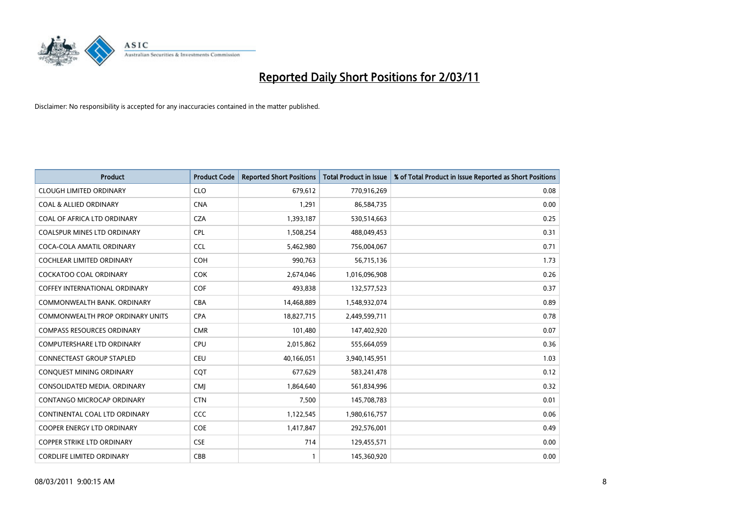

| <b>Product</b>                          | <b>Product Code</b> | <b>Reported Short Positions</b> | <b>Total Product in Issue</b> | % of Total Product in Issue Reported as Short Positions |
|-----------------------------------------|---------------------|---------------------------------|-------------------------------|---------------------------------------------------------|
| <b>CLOUGH LIMITED ORDINARY</b>          | <b>CLO</b>          | 679,612                         | 770,916,269                   | 0.08                                                    |
| <b>COAL &amp; ALLIED ORDINARY</b>       | <b>CNA</b>          | 1,291                           | 86,584,735                    | 0.00                                                    |
| COAL OF AFRICA LTD ORDINARY             | <b>CZA</b>          | 1,393,187                       | 530,514,663                   | 0.25                                                    |
| COALSPUR MINES LTD ORDINARY             | <b>CPL</b>          | 1,508,254                       | 488,049,453                   | 0.31                                                    |
| COCA-COLA AMATIL ORDINARY               | <b>CCL</b>          | 5,462,980                       | 756,004,067                   | 0.71                                                    |
| <b>COCHLEAR LIMITED ORDINARY</b>        | COH                 | 990,763                         | 56,715,136                    | 1.73                                                    |
| <b>COCKATOO COAL ORDINARY</b>           | <b>COK</b>          | 2,674,046                       | 1,016,096,908                 | 0.26                                                    |
| <b>COFFEY INTERNATIONAL ORDINARY</b>    | COF                 | 493,838                         | 132,577,523                   | 0.37                                                    |
| COMMONWEALTH BANK, ORDINARY             | <b>CBA</b>          | 14,468,889                      | 1,548,932,074                 | 0.89                                                    |
| <b>COMMONWEALTH PROP ORDINARY UNITS</b> | <b>CPA</b>          | 18,827,715                      | 2,449,599,711                 | 0.78                                                    |
| <b>COMPASS RESOURCES ORDINARY</b>       | <b>CMR</b>          | 101,480                         | 147,402,920                   | 0.07                                                    |
| <b>COMPUTERSHARE LTD ORDINARY</b>       | <b>CPU</b>          | 2,015,862                       | 555,664,059                   | 0.36                                                    |
| <b>CONNECTEAST GROUP STAPLED</b>        | <b>CEU</b>          | 40,166,051                      | 3,940,145,951                 | 1.03                                                    |
| CONQUEST MINING ORDINARY                | COT                 | 677,629                         | 583,241,478                   | 0.12                                                    |
| CONSOLIDATED MEDIA, ORDINARY            | <b>CMJ</b>          | 1,864,640                       | 561,834,996                   | 0.32                                                    |
| CONTANGO MICROCAP ORDINARY              | <b>CTN</b>          | 7,500                           | 145,708,783                   | 0.01                                                    |
| CONTINENTAL COAL LTD ORDINARY           | <b>CCC</b>          | 1,122,545                       | 1,980,616,757                 | 0.06                                                    |
| COOPER ENERGY LTD ORDINARY              | <b>COE</b>          | 1,417,847                       | 292,576,001                   | 0.49                                                    |
| <b>COPPER STRIKE LTD ORDINARY</b>       | <b>CSE</b>          | 714                             | 129,455,571                   | 0.00                                                    |
| <b>CORDLIFE LIMITED ORDINARY</b>        | CBB                 |                                 | 145,360,920                   | 0.00                                                    |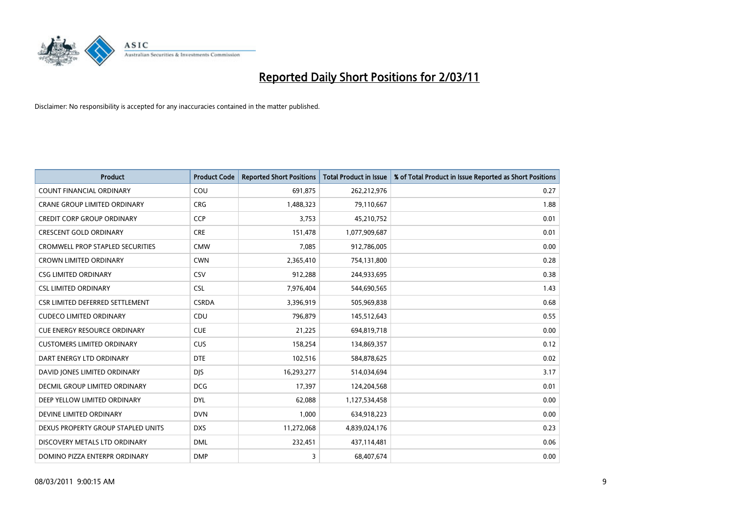

| <b>Product</b>                          | <b>Product Code</b> | <b>Reported Short Positions</b> | Total Product in Issue | % of Total Product in Issue Reported as Short Positions |
|-----------------------------------------|---------------------|---------------------------------|------------------------|---------------------------------------------------------|
| <b>COUNT FINANCIAL ORDINARY</b>         | COU                 | 691,875                         | 262,212,976            | 0.27                                                    |
| <b>CRANE GROUP LIMITED ORDINARY</b>     | <b>CRG</b>          | 1,488,323                       | 79,110,667             | 1.88                                                    |
| <b>CREDIT CORP GROUP ORDINARY</b>       | CCP                 | 3,753                           | 45,210,752             | 0.01                                                    |
| <b>CRESCENT GOLD ORDINARY</b>           | <b>CRE</b>          | 151,478                         | 1,077,909,687          | 0.01                                                    |
| <b>CROMWELL PROP STAPLED SECURITIES</b> | <b>CMW</b>          | 7.085                           | 912,786,005            | 0.00                                                    |
| <b>CROWN LIMITED ORDINARY</b>           | <b>CWN</b>          | 2,365,410                       | 754,131,800            | 0.28                                                    |
| CSG LIMITED ORDINARY                    | CSV                 | 912.288                         | 244,933,695            | 0.38                                                    |
| <b>CSL LIMITED ORDINARY</b>             | <b>CSL</b>          | 7,976,404                       | 544,690,565            | 1.43                                                    |
| CSR LIMITED DEFERRED SETTLEMENT         | <b>CSRDA</b>        | 3,396,919                       | 505,969,838            | 0.68                                                    |
| <b>CUDECO LIMITED ORDINARY</b>          | CDU                 | 796.879                         | 145,512,643            | 0.55                                                    |
| <b>CUE ENERGY RESOURCE ORDINARY</b>     | <b>CUE</b>          | 21,225                          | 694,819,718            | 0.00                                                    |
| <b>CUSTOMERS LIMITED ORDINARY</b>       | CUS                 | 158,254                         | 134,869,357            | 0.12                                                    |
| DART ENERGY LTD ORDINARY                | <b>DTE</b>          | 102,516                         | 584,878,625            | 0.02                                                    |
| DAVID JONES LIMITED ORDINARY            | <b>DJS</b>          | 16,293,277                      | 514,034,694            | 3.17                                                    |
| DECMIL GROUP LIMITED ORDINARY           | <b>DCG</b>          | 17,397                          | 124,204,568            | 0.01                                                    |
| DEEP YELLOW LIMITED ORDINARY            | <b>DYL</b>          | 62,088                          | 1,127,534,458          | 0.00                                                    |
| DEVINE LIMITED ORDINARY                 | <b>DVN</b>          | 1,000                           | 634,918,223            | 0.00                                                    |
| DEXUS PROPERTY GROUP STAPLED UNITS      | <b>DXS</b>          | 11,272,068                      | 4,839,024,176          | 0.23                                                    |
| DISCOVERY METALS LTD ORDINARY           | <b>DML</b>          | 232,451                         | 437,114,481            | 0.06                                                    |
| DOMINO PIZZA ENTERPR ORDINARY           | <b>DMP</b>          | 3                               | 68.407.674             | 0.00                                                    |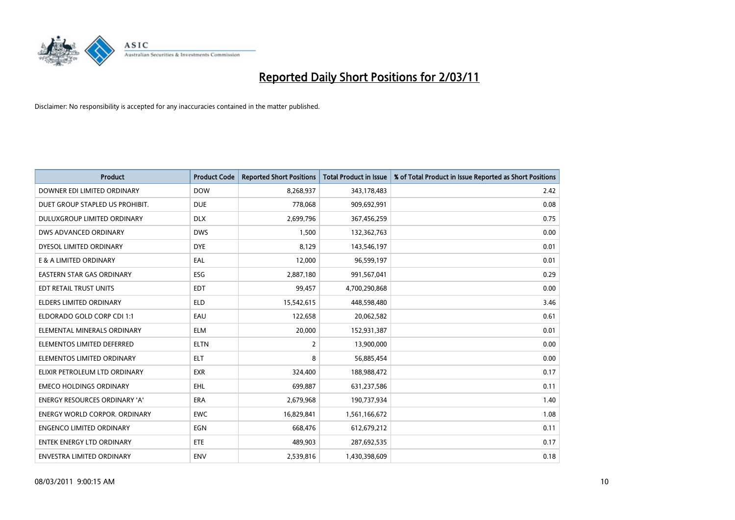

| <b>Product</b>                       | <b>Product Code</b> | <b>Reported Short Positions</b> | Total Product in Issue | % of Total Product in Issue Reported as Short Positions |
|--------------------------------------|---------------------|---------------------------------|------------------------|---------------------------------------------------------|
| DOWNER EDI LIMITED ORDINARY          | <b>DOW</b>          | 8,268,937                       | 343,178,483            | 2.42                                                    |
| DUET GROUP STAPLED US PROHIBIT.      | <b>DUE</b>          | 778.068                         | 909,692,991            | 0.08                                                    |
| DULUXGROUP LIMITED ORDINARY          | <b>DLX</b>          | 2,699,796                       | 367,456,259            | 0.75                                                    |
| DWS ADVANCED ORDINARY                | <b>DWS</b>          | 1,500                           | 132,362,763            | 0.00                                                    |
| <b>DYESOL LIMITED ORDINARY</b>       | <b>DYE</b>          | 8,129                           | 143,546,197            | 0.01                                                    |
| E & A LIMITED ORDINARY               | EAL                 | 12,000                          | 96,599,197             | 0.01                                                    |
| <b>EASTERN STAR GAS ORDINARY</b>     | ESG                 | 2,887,180                       | 991,567,041            | 0.29                                                    |
| EDT RETAIL TRUST UNITS               | <b>EDT</b>          | 99,457                          | 4,700,290,868          | 0.00                                                    |
| ELDERS LIMITED ORDINARY              | <b>ELD</b>          | 15,542,615                      | 448,598,480            | 3.46                                                    |
| ELDORADO GOLD CORP CDI 1:1           | EAU                 | 122,658                         | 20,062,582             | 0.61                                                    |
| ELEMENTAL MINERALS ORDINARY          | <b>ELM</b>          | 20,000                          | 152,931,387            | 0.01                                                    |
| ELEMENTOS LIMITED DEFERRED           | <b>ELTN</b>         | 2                               | 13,900,000             | 0.00                                                    |
| ELEMENTOS LIMITED ORDINARY           | <b>ELT</b>          | 8                               | 56,885,454             | 0.00                                                    |
| ELIXIR PETROLEUM LTD ORDINARY        | <b>EXR</b>          | 324,400                         | 188,988,472            | 0.17                                                    |
| <b>EMECO HOLDINGS ORDINARY</b>       | EHL                 | 699,887                         | 631,237,586            | 0.11                                                    |
| <b>ENERGY RESOURCES ORDINARY 'A'</b> | <b>ERA</b>          | 2,679,968                       | 190,737,934            | 1.40                                                    |
| <b>ENERGY WORLD CORPOR, ORDINARY</b> | <b>EWC</b>          | 16,829,841                      | 1,561,166,672          | 1.08                                                    |
| <b>ENGENCO LIMITED ORDINARY</b>      | <b>EGN</b>          | 668,476                         | 612,679,212            | 0.11                                                    |
| <b>ENTEK ENERGY LTD ORDINARY</b>     | ETE                 | 489,903                         | 287,692,535            | 0.17                                                    |
| <b>ENVESTRA LIMITED ORDINARY</b>     | <b>ENV</b>          | 2.539.816                       | 1,430,398,609          | 0.18                                                    |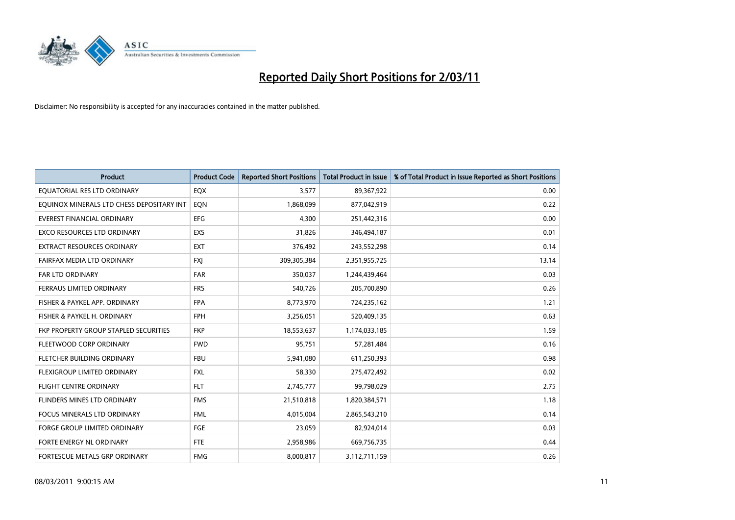

| <b>Product</b>                            | <b>Product Code</b> | <b>Reported Short Positions</b> | <b>Total Product in Issue</b> | % of Total Product in Issue Reported as Short Positions |
|-------------------------------------------|---------------------|---------------------------------|-------------------------------|---------------------------------------------------------|
| EQUATORIAL RES LTD ORDINARY               | EQX                 | 3,577                           | 89,367,922                    | 0.00                                                    |
| EQUINOX MINERALS LTD CHESS DEPOSITARY INT | EQN                 | 1,868,099                       | 877,042,919                   | 0.22                                                    |
| <b>EVEREST FINANCIAL ORDINARY</b>         | EFG                 | 4,300                           | 251,442,316                   | 0.00                                                    |
| EXCO RESOURCES LTD ORDINARY               | EXS                 | 31,826                          | 346,494,187                   | 0.01                                                    |
| <b>EXTRACT RESOURCES ORDINARY</b>         | <b>EXT</b>          | 376,492                         | 243,552,298                   | 0.14                                                    |
| FAIRFAX MEDIA LTD ORDINARY                | <b>FXJ</b>          | 309,305,384                     | 2,351,955,725                 | 13.14                                                   |
| <b>FAR LTD ORDINARY</b>                   | <b>FAR</b>          | 350,037                         | 1,244,439,464                 | 0.03                                                    |
| FERRAUS LIMITED ORDINARY                  | <b>FRS</b>          | 540,726                         | 205,700,890                   | 0.26                                                    |
| FISHER & PAYKEL APP. ORDINARY             | <b>FPA</b>          | 8,773,970                       | 724,235,162                   | 1.21                                                    |
| FISHER & PAYKEL H. ORDINARY               | <b>FPH</b>          | 3,256,051                       | 520,409,135                   | 0.63                                                    |
| FKP PROPERTY GROUP STAPLED SECURITIES     | <b>FKP</b>          | 18,553,637                      | 1,174,033,185                 | 1.59                                                    |
| FLEETWOOD CORP ORDINARY                   | <b>FWD</b>          | 95,751                          | 57,281,484                    | 0.16                                                    |
| FLETCHER BUILDING ORDINARY                | <b>FBU</b>          | 5,941,080                       | 611,250,393                   | 0.98                                                    |
| FLEXIGROUP LIMITED ORDINARY               | <b>FXL</b>          | 58,330                          | 275,472,492                   | 0.02                                                    |
| <b>FLIGHT CENTRE ORDINARY</b>             | <b>FLT</b>          | 2,745,777                       | 99,798,029                    | 2.75                                                    |
| FLINDERS MINES LTD ORDINARY               | <b>FMS</b>          | 21,510,818                      | 1,820,384,571                 | 1.18                                                    |
| FOCUS MINERALS LTD ORDINARY               | <b>FML</b>          | 4,015,004                       | 2,865,543,210                 | 0.14                                                    |
| FORGE GROUP LIMITED ORDINARY              | <b>FGE</b>          | 23,059                          | 82,924,014                    | 0.03                                                    |
| FORTE ENERGY NL ORDINARY                  | <b>FTE</b>          | 2,958,986                       | 669,756,735                   | 0.44                                                    |
| FORTESCUE METALS GRP ORDINARY             | <b>FMG</b>          | 8,000,817                       | 3,112,711,159                 | 0.26                                                    |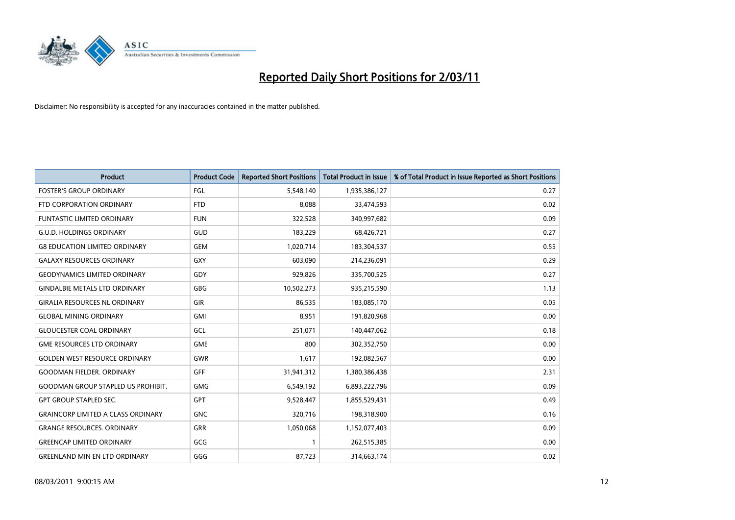

| <b>Product</b>                            | <b>Product Code</b> | <b>Reported Short Positions</b> | <b>Total Product in Issue</b> | % of Total Product in Issue Reported as Short Positions |
|-------------------------------------------|---------------------|---------------------------------|-------------------------------|---------------------------------------------------------|
| <b>FOSTER'S GROUP ORDINARY</b>            | FGL                 | 5,548,140                       | 1,935,386,127                 | 0.27                                                    |
| FTD CORPORATION ORDINARY                  | <b>FTD</b>          | 8,088                           | 33,474,593                    | 0.02                                                    |
| <b>FUNTASTIC LIMITED ORDINARY</b>         | <b>FUN</b>          | 322,528                         | 340,997,682                   | 0.09                                                    |
| <b>G.U.D. HOLDINGS ORDINARY</b>           | GUD                 | 183,229                         | 68,426,721                    | 0.27                                                    |
| <b>G8 EDUCATION LIMITED ORDINARY</b>      | <b>GEM</b>          | 1,020,714                       | 183,304,537                   | 0.55                                                    |
| <b>GALAXY RESOURCES ORDINARY</b>          | <b>GXY</b>          | 603.090                         | 214,236,091                   | 0.29                                                    |
| <b>GEODYNAMICS LIMITED ORDINARY</b>       | GDY                 | 929,826                         | 335,700,525                   | 0.27                                                    |
| <b>GINDALBIE METALS LTD ORDINARY</b>      | <b>GBG</b>          | 10,502,273                      | 935,215,590                   | 1.13                                                    |
| <b>GIRALIA RESOURCES NL ORDINARY</b>      | GIR                 | 86,535                          | 183,085,170                   | 0.05                                                    |
| <b>GLOBAL MINING ORDINARY</b>             | GMI                 | 8,951                           | 191,820,968                   | 0.00                                                    |
| <b>GLOUCESTER COAL ORDINARY</b>           | GCL                 | 251,071                         | 140,447,062                   | 0.18                                                    |
| <b>GME RESOURCES LTD ORDINARY</b>         | <b>GME</b>          | 800                             | 302,352,750                   | 0.00                                                    |
| <b>GOLDEN WEST RESOURCE ORDINARY</b>      | <b>GWR</b>          | 1,617                           | 192,082,567                   | 0.00                                                    |
| <b>GOODMAN FIELDER, ORDINARY</b>          | <b>GFF</b>          | 31,941,312                      | 1,380,386,438                 | 2.31                                                    |
| <b>GOODMAN GROUP STAPLED US PROHIBIT.</b> | <b>GMG</b>          | 6,549,192                       | 6,893,222,796                 | 0.09                                                    |
| <b>GPT GROUP STAPLED SEC.</b>             | <b>GPT</b>          | 9,528,447                       | 1,855,529,431                 | 0.49                                                    |
| <b>GRAINCORP LIMITED A CLASS ORDINARY</b> | <b>GNC</b>          | 320,716                         | 198,318,900                   | 0.16                                                    |
| <b>GRANGE RESOURCES. ORDINARY</b>         | <b>GRR</b>          | 1,050,068                       | 1,152,077,403                 | 0.09                                                    |
| <b>GREENCAP LIMITED ORDINARY</b>          | GCG                 |                                 | 262,515,385                   | 0.00                                                    |
| <b>GREENLAND MIN EN LTD ORDINARY</b>      | GGG                 | 87,723                          | 314,663,174                   | 0.02                                                    |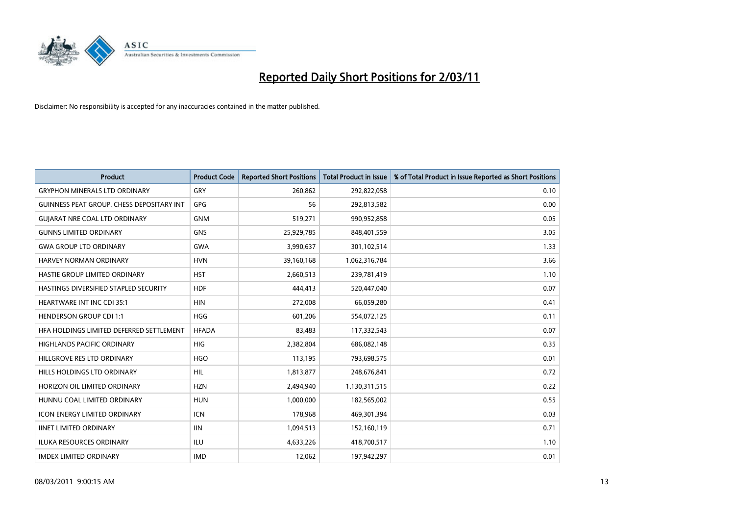

| <b>Product</b>                            | <b>Product Code</b> | <b>Reported Short Positions</b> | <b>Total Product in Issue</b> | % of Total Product in Issue Reported as Short Positions |
|-------------------------------------------|---------------------|---------------------------------|-------------------------------|---------------------------------------------------------|
| <b>GRYPHON MINERALS LTD ORDINARY</b>      | GRY                 | 260,862                         | 292,822,058                   | 0.10                                                    |
| GUINNESS PEAT GROUP. CHESS DEPOSITARY INT | GPG                 | 56                              | 292,813,582                   | 0.00                                                    |
| <b>GUIARAT NRE COAL LTD ORDINARY</b>      | <b>GNM</b>          | 519,271                         | 990,952,858                   | 0.05                                                    |
| <b>GUNNS LIMITED ORDINARY</b>             | <b>GNS</b>          | 25,929,785                      | 848,401,559                   | 3.05                                                    |
| <b>GWA GROUP LTD ORDINARY</b>             | <b>GWA</b>          | 3,990,637                       | 301,102,514                   | 1.33                                                    |
| <b>HARVEY NORMAN ORDINARY</b>             | <b>HVN</b>          | 39,160,168                      | 1,062,316,784                 | 3.66                                                    |
| HASTIE GROUP LIMITED ORDINARY             | <b>HST</b>          | 2,660,513                       | 239,781,419                   | 1.10                                                    |
| HASTINGS DIVERSIFIED STAPLED SECURITY     | <b>HDF</b>          | 444,413                         | 520,447,040                   | 0.07                                                    |
| <b>HEARTWARE INT INC CDI 35:1</b>         | <b>HIN</b>          | 272,008                         | 66,059,280                    | 0.41                                                    |
| <b>HENDERSON GROUP CDI 1:1</b>            | <b>HGG</b>          | 601,206                         | 554,072,125                   | 0.11                                                    |
| HFA HOLDINGS LIMITED DEFERRED SETTLEMENT  | <b>HFADA</b>        | 83,483                          | 117,332,543                   | 0.07                                                    |
| <b>HIGHLANDS PACIFIC ORDINARY</b>         | <b>HIG</b>          | 2,382,804                       | 686,082,148                   | 0.35                                                    |
| HILLGROVE RES LTD ORDINARY                | <b>HGO</b>          | 113,195                         | 793,698,575                   | 0.01                                                    |
| HILLS HOLDINGS LTD ORDINARY               | HIL                 | 1,813,877                       | 248,676,841                   | 0.72                                                    |
| HORIZON OIL LIMITED ORDINARY              | <b>HZN</b>          | 2,494,940                       | 1,130,311,515                 | 0.22                                                    |
| HUNNU COAL LIMITED ORDINARY               | <b>HUN</b>          | 1,000,000                       | 182,565,002                   | 0.55                                                    |
| ICON ENERGY LIMITED ORDINARY              | <b>ICN</b>          | 178,968                         | 469,301,394                   | 0.03                                                    |
| <b>IINET LIMITED ORDINARY</b>             | <b>IIN</b>          | 1,094,513                       | 152,160,119                   | 0.71                                                    |
| <b>ILUKA RESOURCES ORDINARY</b>           | ILU                 | 4,633,226                       | 418,700,517                   | 1.10                                                    |
| <b>IMDEX LIMITED ORDINARY</b>             | <b>IMD</b>          | 12,062                          | 197,942,297                   | 0.01                                                    |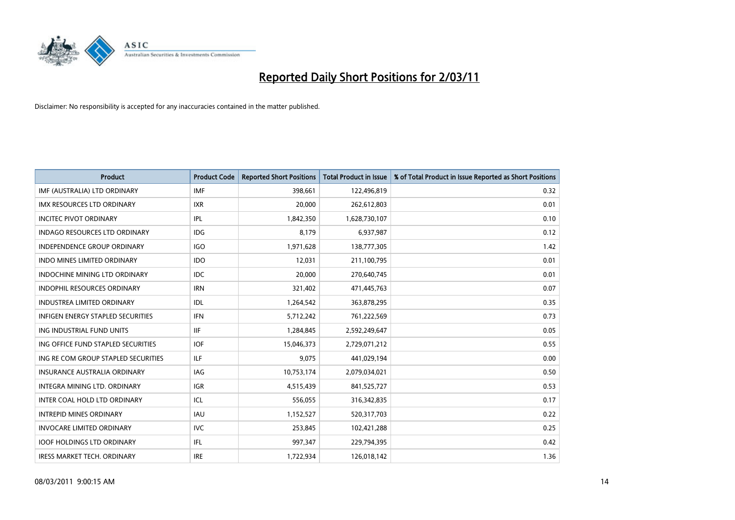

| <b>Product</b>                           | <b>Product Code</b> | <b>Reported Short Positions</b> | <b>Total Product in Issue</b> | % of Total Product in Issue Reported as Short Positions |
|------------------------------------------|---------------------|---------------------------------|-------------------------------|---------------------------------------------------------|
| IMF (AUSTRALIA) LTD ORDINARY             | <b>IMF</b>          | 398,661                         | 122,496,819                   | 0.32                                                    |
| IMX RESOURCES LTD ORDINARY               | <b>IXR</b>          | 20,000                          | 262,612,803                   | 0.01                                                    |
| <b>INCITEC PIVOT ORDINARY</b>            | IPL                 | 1,842,350                       | 1,628,730,107                 | 0.10                                                    |
| INDAGO RESOURCES LTD ORDINARY            | <b>IDG</b>          | 8,179                           | 6,937,987                     | 0.12                                                    |
| <b>INDEPENDENCE GROUP ORDINARY</b>       | <b>IGO</b>          | 1,971,628                       | 138,777,305                   | 1.42                                                    |
| <b>INDO MINES LIMITED ORDINARY</b>       | <b>IDO</b>          | 12,031                          | 211,100,795                   | 0.01                                                    |
| INDOCHINE MINING LTD ORDINARY            | <b>IDC</b>          | 20.000                          | 270,640,745                   | 0.01                                                    |
| <b>INDOPHIL RESOURCES ORDINARY</b>       | <b>IRN</b>          | 321,402                         | 471,445,763                   | 0.07                                                    |
| INDUSTREA LIMITED ORDINARY               | IDL                 | 1,264,542                       | 363,878,295                   | 0.35                                                    |
| <b>INFIGEN ENERGY STAPLED SECURITIES</b> | <b>IFN</b>          | 5,712,242                       | 761,222,569                   | 0.73                                                    |
| ING INDUSTRIAL FUND UNITS                | IIF.                | 1,284,845                       | 2,592,249,647                 | 0.05                                                    |
| ING OFFICE FUND STAPLED SECURITIES       | <b>IOF</b>          | 15,046,373                      | 2,729,071,212                 | 0.55                                                    |
| ING RE COM GROUP STAPLED SECURITIES      | <b>ILF</b>          | 9,075                           | 441,029,194                   | 0.00                                                    |
| <b>INSURANCE AUSTRALIA ORDINARY</b>      | IAG                 | 10,753,174                      | 2,079,034,021                 | 0.50                                                    |
| INTEGRA MINING LTD, ORDINARY             | <b>IGR</b>          | 4,515,439                       | 841,525,727                   | 0.53                                                    |
| INTER COAL HOLD LTD ORDINARY             | ICL                 | 556,055                         | 316, 342, 835                 | 0.17                                                    |
| <b>INTREPID MINES ORDINARY</b>           | <b>IAU</b>          | 1,152,527                       | 520,317,703                   | 0.22                                                    |
| <b>INVOCARE LIMITED ORDINARY</b>         | <b>IVC</b>          | 253,845                         | 102,421,288                   | 0.25                                                    |
| <b>IOOF HOLDINGS LTD ORDINARY</b>        | IFL.                | 997,347                         | 229,794,395                   | 0.42                                                    |
| <b>IRESS MARKET TECH. ORDINARY</b>       | <b>IRE</b>          | 1,722,934                       | 126,018,142                   | 1.36                                                    |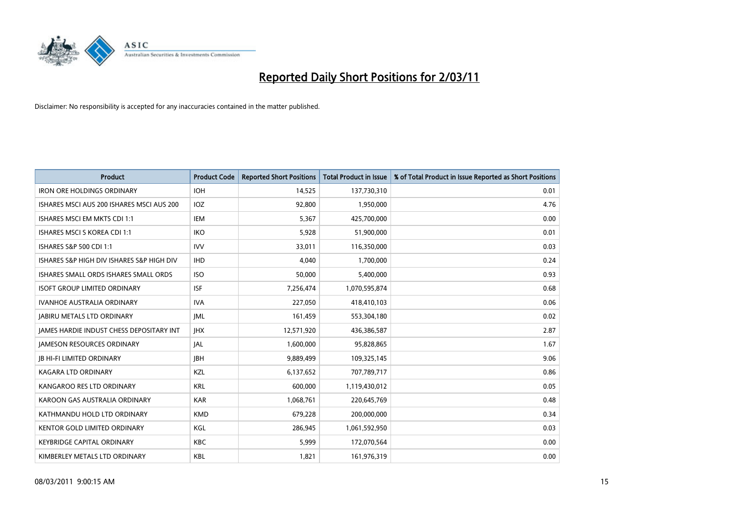

| <b>Product</b>                                  | <b>Product Code</b> | <b>Reported Short Positions</b> | <b>Total Product in Issue</b> | % of Total Product in Issue Reported as Short Positions |
|-------------------------------------------------|---------------------|---------------------------------|-------------------------------|---------------------------------------------------------|
| <b>IRON ORE HOLDINGS ORDINARY</b>               | <b>IOH</b>          | 14,525                          | 137,730,310                   | 0.01                                                    |
| ISHARES MSCI AUS 200 ISHARES MSCI AUS 200       | IOZ                 | 92,800                          | 1,950,000                     | 4.76                                                    |
| ISHARES MSCI EM MKTS CDI 1:1                    | <b>IEM</b>          | 5,367                           | 425,700,000                   | 0.00                                                    |
| ISHARES MSCI S KOREA CDI 1:1                    | <b>IKO</b>          | 5,928                           | 51,900,000                    | 0.01                                                    |
| ISHARES S&P 500 CDI 1:1                         | <b>IVV</b>          | 33,011                          | 116,350,000                   | 0.03                                                    |
| ISHARES S&P HIGH DIV ISHARES S&P HIGH DIV       | <b>IHD</b>          | 4.040                           | 1,700,000                     | 0.24                                                    |
| ISHARES SMALL ORDS ISHARES SMALL ORDS           | <b>ISO</b>          | 50,000                          | 5,400,000                     | 0.93                                                    |
| <b>ISOFT GROUP LIMITED ORDINARY</b>             | <b>ISF</b>          | 7,256,474                       | 1,070,595,874                 | 0.68                                                    |
| IVANHOE AUSTRALIA ORDINARY                      | <b>IVA</b>          | 227,050                         | 418,410,103                   | 0.06                                                    |
| <b>JABIRU METALS LTD ORDINARY</b>               | <b>JML</b>          | 161,459                         | 553,304,180                   | 0.02                                                    |
| <b>JAMES HARDIE INDUST CHESS DEPOSITARY INT</b> | <b>IHX</b>          | 12,571,920                      | 436,386,587                   | 2.87                                                    |
| <b>JAMESON RESOURCES ORDINARY</b>               | <b>JAL</b>          | 1,600,000                       | 95,828,865                    | 1.67                                                    |
| <b>IB HI-FI LIMITED ORDINARY</b>                | <b>IBH</b>          | 9,889,499                       | 109,325,145                   | 9.06                                                    |
| <b>KAGARA LTD ORDINARY</b>                      | KZL                 | 6,137,652                       | 707,789,717                   | 0.86                                                    |
| KANGAROO RES LTD ORDINARY                       | <b>KRL</b>          | 600,000                         | 1,119,430,012                 | 0.05                                                    |
| KAROON GAS AUSTRALIA ORDINARY                   | <b>KAR</b>          | 1,068,761                       | 220,645,769                   | 0.48                                                    |
| KATHMANDU HOLD LTD ORDINARY                     | <b>KMD</b>          | 679,228                         | 200,000,000                   | 0.34                                                    |
| KENTOR GOLD LIMITED ORDINARY                    | KGL                 | 286,945                         | 1,061,592,950                 | 0.03                                                    |
| <b>KEYBRIDGE CAPITAL ORDINARY</b>               | <b>KBC</b>          | 5,999                           | 172,070,564                   | 0.00                                                    |
| KIMBERLEY METALS LTD ORDINARY                   | <b>KBL</b>          | 1,821                           | 161,976,319                   | 0.00                                                    |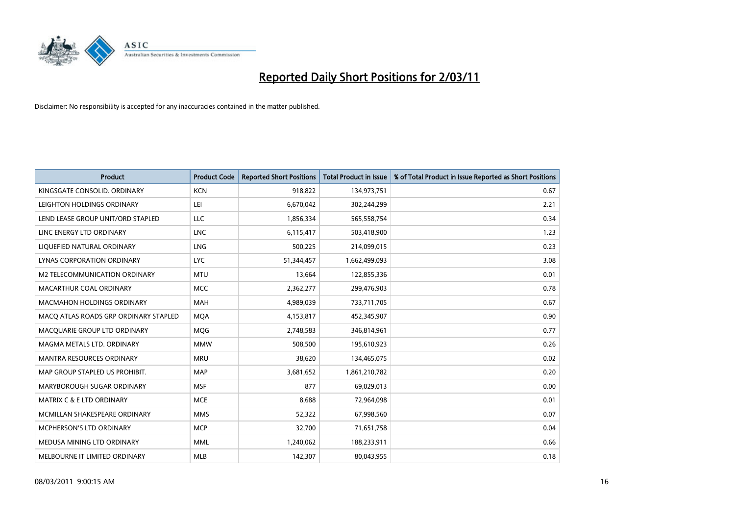

| <b>Product</b>                        | <b>Product Code</b> | <b>Reported Short Positions</b> | Total Product in Issue | % of Total Product in Issue Reported as Short Positions |
|---------------------------------------|---------------------|---------------------------------|------------------------|---------------------------------------------------------|
| KINGSGATE CONSOLID. ORDINARY          | <b>KCN</b>          | 918,822                         | 134,973,751            | 0.67                                                    |
| LEIGHTON HOLDINGS ORDINARY            | LEI                 | 6,670,042                       | 302,244,299            | 2.21                                                    |
| LEND LEASE GROUP UNIT/ORD STAPLED     | LLC                 | 1,856,334                       | 565,558,754            | 0.34                                                    |
| LINC ENERGY LTD ORDINARY              | <b>LNC</b>          | 6,115,417                       | 503,418,900            | 1.23                                                    |
| LIOUEFIED NATURAL ORDINARY            | LNG                 | 500,225                         | 214,099,015            | 0.23                                                    |
| <b>LYNAS CORPORATION ORDINARY</b>     | <b>LYC</b>          | 51,344,457                      | 1,662,499,093          | 3.08                                                    |
| M2 TELECOMMUNICATION ORDINARY         | <b>MTU</b>          | 13,664                          | 122,855,336            | 0.01                                                    |
| MACARTHUR COAL ORDINARY               | <b>MCC</b>          | 2,362,277                       | 299,476,903            | 0.78                                                    |
| MACMAHON HOLDINGS ORDINARY            | <b>MAH</b>          | 4,989,039                       | 733,711,705            | 0.67                                                    |
| MACO ATLAS ROADS GRP ORDINARY STAPLED | <b>MOA</b>          | 4,153,817                       | 452,345,907            | 0.90                                                    |
| MACQUARIE GROUP LTD ORDINARY          | MQG                 | 2,748,583                       | 346,814,961            | 0.77                                                    |
| MAGMA METALS LTD. ORDINARY            | <b>MMW</b>          | 508,500                         | 195,610,923            | 0.26                                                    |
| <b>MANTRA RESOURCES ORDINARY</b>      | <b>MRU</b>          | 38,620                          | 134,465,075            | 0.02                                                    |
| MAP GROUP STAPLED US PROHIBIT.        | <b>MAP</b>          | 3,681,652                       | 1,861,210,782          | 0.20                                                    |
| MARYBOROUGH SUGAR ORDINARY            | <b>MSF</b>          | 877                             | 69,029,013             | 0.00                                                    |
| <b>MATRIX C &amp; E LTD ORDINARY</b>  | <b>MCE</b>          | 8,688                           | 72,964,098             | 0.01                                                    |
| MCMILLAN SHAKESPEARE ORDINARY         | <b>MMS</b>          | 52,322                          | 67,998,560             | 0.07                                                    |
| MCPHERSON'S LTD ORDINARY              | <b>MCP</b>          | 32,700                          | 71,651,758             | 0.04                                                    |
| MEDUSA MINING LTD ORDINARY            | <b>MML</b>          | 1,240,062                       | 188,233,911            | 0.66                                                    |
| MELBOURNE IT LIMITED ORDINARY         | <b>MLB</b>          | 142.307                         | 80,043,955             | 0.18                                                    |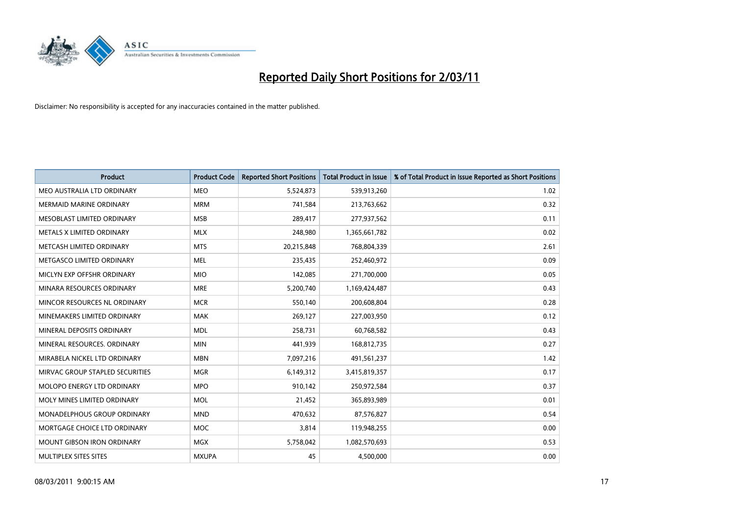

| <b>Product</b>                     | <b>Product Code</b> | <b>Reported Short Positions</b> | Total Product in Issue | % of Total Product in Issue Reported as Short Positions |
|------------------------------------|---------------------|---------------------------------|------------------------|---------------------------------------------------------|
| MEO AUSTRALIA LTD ORDINARY         | <b>MEO</b>          | 5,524,873                       | 539,913,260            | 1.02                                                    |
| <b>MERMAID MARINE ORDINARY</b>     | <b>MRM</b>          | 741,584                         | 213,763,662            | 0.32                                                    |
| MESOBLAST LIMITED ORDINARY         | <b>MSB</b>          | 289,417                         | 277,937,562            | 0.11                                                    |
| METALS X LIMITED ORDINARY          | <b>MLX</b>          | 248,980                         | 1,365,661,782          | 0.02                                                    |
| METCASH LIMITED ORDINARY           | <b>MTS</b>          | 20,215,848                      | 768,804,339            | 2.61                                                    |
| METGASCO LIMITED ORDINARY          | <b>MEL</b>          | 235,435                         | 252,460,972            | 0.09                                                    |
| MICLYN EXP OFFSHR ORDINARY         | <b>MIO</b>          | 142,085                         | 271,700,000            | 0.05                                                    |
| MINARA RESOURCES ORDINARY          | <b>MRE</b>          | 5,200,740                       | 1,169,424,487          | 0.43                                                    |
| MINCOR RESOURCES NL ORDINARY       | <b>MCR</b>          | 550,140                         | 200,608,804            | 0.28                                                    |
| MINEMAKERS LIMITED ORDINARY        | <b>MAK</b>          | 269,127                         | 227,003,950            | 0.12                                                    |
| MINERAL DEPOSITS ORDINARY          | <b>MDL</b>          | 258,731                         | 60,768,582             | 0.43                                                    |
| MINERAL RESOURCES, ORDINARY        | <b>MIN</b>          | 441,939                         | 168,812,735            | 0.27                                                    |
| MIRABELA NICKEL LTD ORDINARY       | <b>MBN</b>          | 7,097,216                       | 491,561,237            | 1.42                                                    |
| MIRVAC GROUP STAPLED SECURITIES    | <b>MGR</b>          | 6,149,312                       | 3,415,819,357          | 0.17                                                    |
| MOLOPO ENERGY LTD ORDINARY         | <b>MPO</b>          | 910,142                         | 250,972,584            | 0.37                                                    |
| MOLY MINES LIMITED ORDINARY        | <b>MOL</b>          | 21,452                          | 365,893,989            | 0.01                                                    |
| <b>MONADELPHOUS GROUP ORDINARY</b> | <b>MND</b>          | 470,632                         | 87,576,827             | 0.54                                                    |
| MORTGAGE CHOICE LTD ORDINARY       | <b>MOC</b>          | 3,814                           | 119,948,255            | 0.00                                                    |
| <b>MOUNT GIBSON IRON ORDINARY</b>  | <b>MGX</b>          | 5,758,042                       | 1,082,570,693          | 0.53                                                    |
| MULTIPLEX SITES SITES              | <b>MXUPA</b>        | 45                              | 4,500,000              | 0.00                                                    |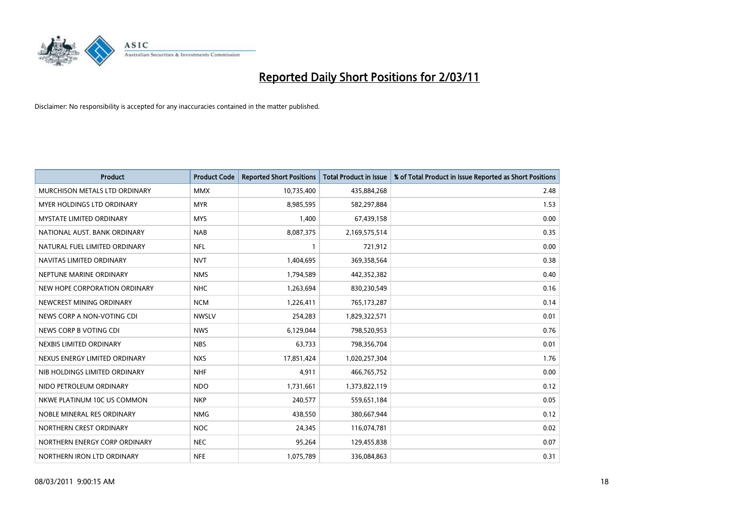

| <b>Product</b>                  | <b>Product Code</b> | <b>Reported Short Positions</b> | <b>Total Product in Issue</b> | % of Total Product in Issue Reported as Short Positions |
|---------------------------------|---------------------|---------------------------------|-------------------------------|---------------------------------------------------------|
| MURCHISON METALS LTD ORDINARY   | <b>MMX</b>          | 10,735,400                      | 435,884,268                   | 2.48                                                    |
| MYER HOLDINGS LTD ORDINARY      | <b>MYR</b>          | 8,985,595                       | 582,297,884                   | 1.53                                                    |
| <b>MYSTATE LIMITED ORDINARY</b> | <b>MYS</b>          | 1,400                           | 67,439,158                    | 0.00                                                    |
| NATIONAL AUST. BANK ORDINARY    | <b>NAB</b>          | 8,087,375                       | 2,169,575,514                 | 0.35                                                    |
| NATURAL FUEL LIMITED ORDINARY   | <b>NFL</b>          |                                 | 721,912                       | 0.00                                                    |
| NAVITAS LIMITED ORDINARY        | <b>NVT</b>          | 1,404,695                       | 369,358,564                   | 0.38                                                    |
| NEPTUNE MARINE ORDINARY         | <b>NMS</b>          | 1,794,589                       | 442,352,382                   | 0.40                                                    |
| NEW HOPE CORPORATION ORDINARY   | <b>NHC</b>          | 1,263,694                       | 830,230,549                   | 0.16                                                    |
| NEWCREST MINING ORDINARY        | <b>NCM</b>          | 1,226,411                       | 765,173,287                   | 0.14                                                    |
| NEWS CORP A NON-VOTING CDI      | <b>NWSLV</b>        | 254,283                         | 1,829,322,571                 | 0.01                                                    |
| NEWS CORP B VOTING CDI          | <b>NWS</b>          | 6,129,044                       | 798,520,953                   | 0.76                                                    |
| NEXBIS LIMITED ORDINARY         | <b>NBS</b>          | 63,733                          | 798,356,704                   | 0.01                                                    |
| NEXUS ENERGY LIMITED ORDINARY   | <b>NXS</b>          | 17,851,424                      | 1,020,257,304                 | 1.76                                                    |
| NIB HOLDINGS LIMITED ORDINARY   | <b>NHF</b>          | 4,911                           | 466,765,752                   | 0.00                                                    |
| NIDO PETROLEUM ORDINARY         | <b>NDO</b>          | 1,731,661                       | 1,373,822,119                 | 0.12                                                    |
| NKWE PLATINUM 10C US COMMON     | <b>NKP</b>          | 240,577                         | 559,651,184                   | 0.05                                                    |
| NOBLE MINERAL RES ORDINARY      | <b>NMG</b>          | 438,550                         | 380,667,944                   | 0.12                                                    |
| NORTHERN CREST ORDINARY         | NOC                 | 24,345                          | 116,074,781                   | 0.02                                                    |
| NORTHERN ENERGY CORP ORDINARY   | <b>NEC</b>          | 95,264                          | 129,455,838                   | 0.07                                                    |
| NORTHERN IRON LTD ORDINARY      | <b>NFE</b>          | 1,075,789                       | 336,084,863                   | 0.31                                                    |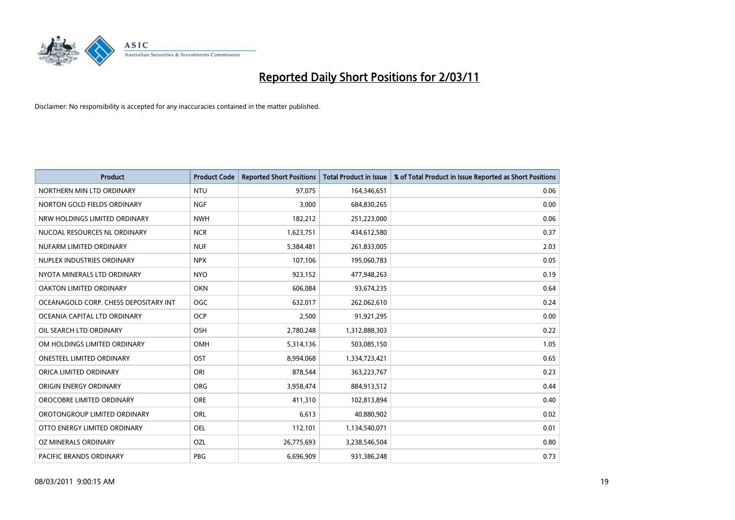

| <b>Product</b>                        | <b>Product Code</b> | <b>Reported Short Positions</b> | <b>Total Product in Issue</b> | % of Total Product in Issue Reported as Short Positions |
|---------------------------------------|---------------------|---------------------------------|-------------------------------|---------------------------------------------------------|
| NORTHERN MIN LTD ORDINARY             | <b>NTU</b>          | 97,075                          | 164,346,651                   | 0.06                                                    |
| NORTON GOLD FIELDS ORDINARY           | <b>NGF</b>          | 3,000                           | 684,830,265                   | 0.00                                                    |
| NRW HOLDINGS LIMITED ORDINARY         | <b>NWH</b>          | 182,212                         | 251,223,000                   | 0.06                                                    |
| NUCOAL RESOURCES NL ORDINARY          | <b>NCR</b>          | 1,623,751                       | 434,612,580                   | 0.37                                                    |
| NUFARM LIMITED ORDINARY               | <b>NUF</b>          | 5,384,481                       | 261,833,005                   | 2.03                                                    |
| NUPLEX INDUSTRIES ORDINARY            | <b>NPX</b>          | 107,106                         | 195,060,783                   | 0.05                                                    |
| NYOTA MINERALS LTD ORDINARY           | <b>NYO</b>          | 923,152                         | 477,948,263                   | 0.19                                                    |
| OAKTON LIMITED ORDINARY               | <b>OKN</b>          | 606,084                         | 93,674,235                    | 0.64                                                    |
| OCEANAGOLD CORP. CHESS DEPOSITARY INT | <b>OGC</b>          | 632,017                         | 262,062,610                   | 0.24                                                    |
| OCEANIA CAPITAL LTD ORDINARY          | <b>OCP</b>          | 2,500                           | 91,921,295                    | 0.00                                                    |
| OIL SEARCH LTD ORDINARY               | <b>OSH</b>          | 2,780,248                       | 1,312,888,303                 | 0.22                                                    |
| OM HOLDINGS LIMITED ORDINARY          | <b>OMH</b>          | 5,314,136                       | 503,085,150                   | 1.05                                                    |
| ONESTEEL LIMITED ORDINARY             | OST                 | 8,994,068                       | 1,334,723,421                 | 0.65                                                    |
| ORICA LIMITED ORDINARY                | ORI                 | 878,544                         | 363,223,767                   | 0.23                                                    |
| ORIGIN ENERGY ORDINARY                | <b>ORG</b>          | 3,958,474                       | 884,913,512                   | 0.44                                                    |
| OROCOBRE LIMITED ORDINARY             | <b>ORE</b>          | 411,310                         | 102,813,894                   | 0.40                                                    |
| OROTONGROUP LIMITED ORDINARY          | ORL                 | 6,613                           | 40,880,902                    | 0.02                                                    |
| OTTO ENERGY LIMITED ORDINARY          | <b>OEL</b>          | 112,101                         | 1,134,540,071                 | 0.01                                                    |
| OZ MINERALS ORDINARY                  | OZL                 | 26,775,693                      | 3,238,546,504                 | 0.80                                                    |
| PACIFIC BRANDS ORDINARY               | <b>PBG</b>          | 6,696,909                       | 931,386,248                   | 0.73                                                    |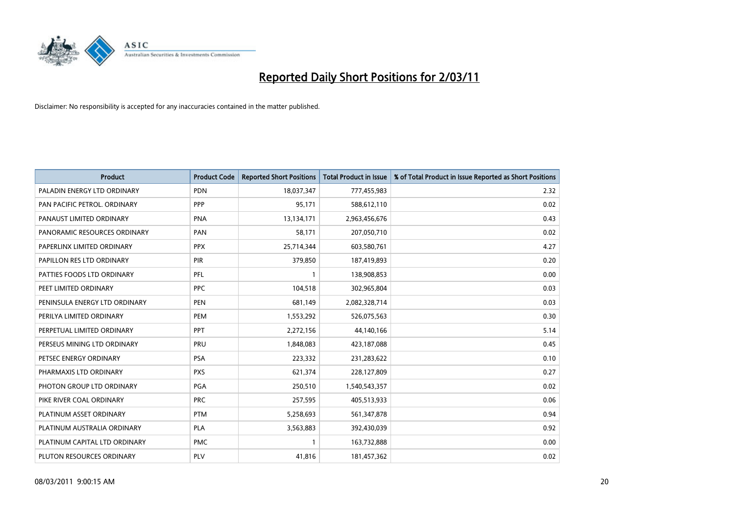

| <b>Product</b>                | <b>Product Code</b> | <b>Reported Short Positions</b> | <b>Total Product in Issue</b> | % of Total Product in Issue Reported as Short Positions |
|-------------------------------|---------------------|---------------------------------|-------------------------------|---------------------------------------------------------|
| PALADIN ENERGY LTD ORDINARY   | <b>PDN</b>          | 18,037,347                      | 777,455,983                   | 2.32                                                    |
| PAN PACIFIC PETROL. ORDINARY  | PPP                 | 95,171                          | 588,612,110                   | 0.02                                                    |
| PANAUST LIMITED ORDINARY      | <b>PNA</b>          | 13,134,171                      | 2,963,456,676                 | 0.43                                                    |
| PANORAMIC RESOURCES ORDINARY  | PAN                 | 58,171                          | 207,050,710                   | 0.02                                                    |
| PAPERLINX LIMITED ORDINARY    | <b>PPX</b>          | 25,714,344                      | 603,580,761                   | 4.27                                                    |
| PAPILLON RES LTD ORDINARY     | <b>PIR</b>          | 379,850                         | 187,419,893                   | 0.20                                                    |
| PATTIES FOODS LTD ORDINARY    | PFL                 |                                 | 138,908,853                   | 0.00                                                    |
| PEET LIMITED ORDINARY         | PPC                 | 104,518                         | 302,965,804                   | 0.03                                                    |
| PENINSULA ENERGY LTD ORDINARY | <b>PEN</b>          | 681,149                         | 2,082,328,714                 | 0.03                                                    |
| PERILYA LIMITED ORDINARY      | PEM                 | 1,553,292                       | 526,075,563                   | 0.30                                                    |
| PERPETUAL LIMITED ORDINARY    | <b>PPT</b>          | 2,272,156                       | 44,140,166                    | 5.14                                                    |
| PERSEUS MINING LTD ORDINARY   | PRU                 | 1,848,083                       | 423,187,088                   | 0.45                                                    |
| PETSEC ENERGY ORDINARY        | <b>PSA</b>          | 223,332                         | 231,283,622                   | 0.10                                                    |
| PHARMAXIS LTD ORDINARY        | <b>PXS</b>          | 621,374                         | 228,127,809                   | 0.27                                                    |
| PHOTON GROUP LTD ORDINARY     | PGA                 | 250,510                         | 1,540,543,357                 | 0.02                                                    |
| PIKE RIVER COAL ORDINARY      | <b>PRC</b>          | 257,595                         | 405,513,933                   | 0.06                                                    |
| PLATINUM ASSET ORDINARY       | <b>PTM</b>          | 5,258,693                       | 561,347,878                   | 0.94                                                    |
| PLATINUM AUSTRALIA ORDINARY   | <b>PLA</b>          | 3,563,883                       | 392,430,039                   | 0.92                                                    |
| PLATINUM CAPITAL LTD ORDINARY | <b>PMC</b>          |                                 | 163,732,888                   | 0.00                                                    |
| PLUTON RESOURCES ORDINARY     | PLV                 | 41,816                          | 181,457,362                   | 0.02                                                    |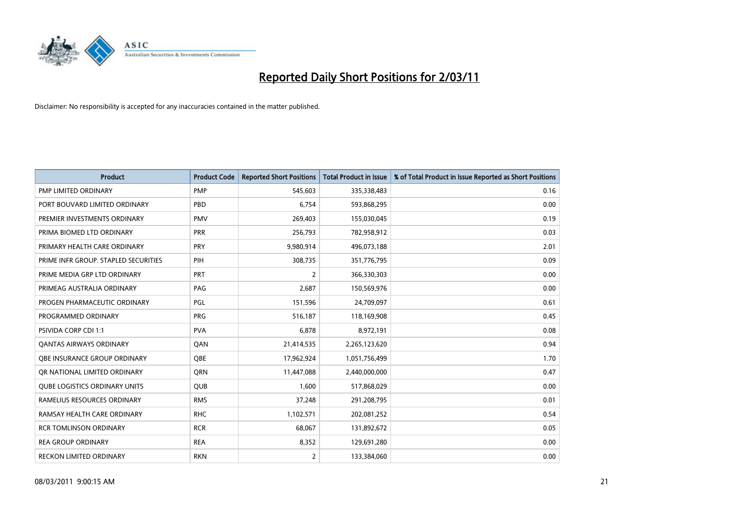

| <b>Product</b>                       | <b>Product Code</b> | <b>Reported Short Positions</b> | Total Product in Issue | % of Total Product in Issue Reported as Short Positions |
|--------------------------------------|---------------------|---------------------------------|------------------------|---------------------------------------------------------|
| <b>PMP LIMITED ORDINARY</b>          | <b>PMP</b>          | 545,603                         | 335,338,483            | 0.16                                                    |
| PORT BOUVARD LIMITED ORDINARY        | PBD                 | 6.754                           | 593,868,295            | 0.00                                                    |
| PREMIER INVESTMENTS ORDINARY         | <b>PMV</b>          | 269,403                         | 155,030,045            | 0.19                                                    |
| PRIMA BIOMED LTD ORDINARY            | <b>PRR</b>          | 256,793                         | 782,958,912            | 0.03                                                    |
| PRIMARY HEALTH CARE ORDINARY         | PRY                 | 9,980,914                       | 496,073,188            | 2.01                                                    |
| PRIME INFR GROUP. STAPLED SECURITIES | PIH                 | 308,735                         | 351,776,795            | 0.09                                                    |
| PRIME MEDIA GRP LTD ORDINARY         | PRT                 | 2                               | 366,330,303            | 0.00                                                    |
| PRIMEAG AUSTRALIA ORDINARY           | PAG                 | 2,687                           | 150,569,976            | 0.00                                                    |
| PROGEN PHARMACEUTIC ORDINARY         | <b>PGL</b>          | 151,596                         | 24,709,097             | 0.61                                                    |
| PROGRAMMED ORDINARY                  | <b>PRG</b>          | 516,187                         | 118,169,908            | 0.45                                                    |
| <b>PSIVIDA CORP CDI 1:1</b>          | <b>PVA</b>          | 6,878                           | 8,972,191              | 0.08                                                    |
| <b>QANTAS AIRWAYS ORDINARY</b>       | QAN                 | 21,414,535                      | 2,265,123,620          | 0.94                                                    |
| OBE INSURANCE GROUP ORDINARY         | <b>OBE</b>          | 17,962,924                      | 1,051,756,499          | 1.70                                                    |
| OR NATIONAL LIMITED ORDINARY         | <b>ORN</b>          | 11,447,088                      | 2,440,000,000          | 0.47                                                    |
| <b>QUBE LOGISTICS ORDINARY UNITS</b> | QUB                 | 1,600                           | 517,868,029            | 0.00                                                    |
| RAMELIUS RESOURCES ORDINARY          | <b>RMS</b>          | 37,248                          | 291,208,795            | 0.01                                                    |
| RAMSAY HEALTH CARE ORDINARY          | <b>RHC</b>          | 1,102,571                       | 202,081,252            | 0.54                                                    |
| <b>RCR TOMLINSON ORDINARY</b>        | <b>RCR</b>          | 68,067                          | 131,892,672            | 0.05                                                    |
| <b>REA GROUP ORDINARY</b>            | <b>REA</b>          | 8,352                           | 129,691,280            | 0.00                                                    |
| RECKON LIMITED ORDINARY              | <b>RKN</b>          | $\overline{2}$                  | 133,384,060            | 0.00                                                    |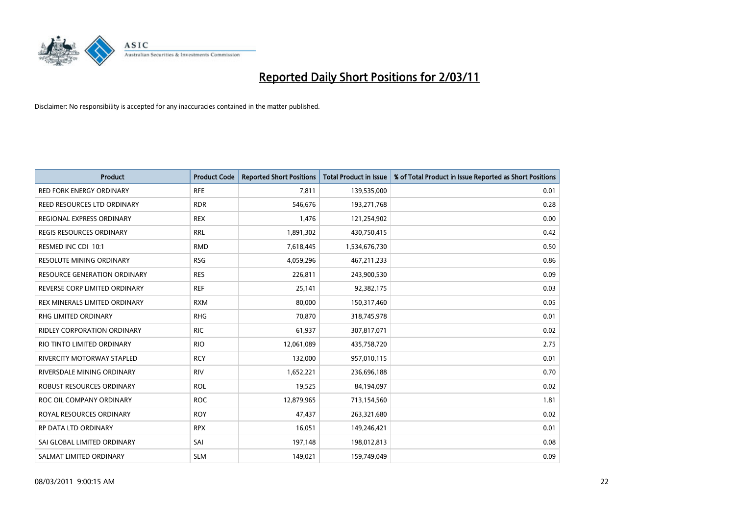

| <b>Product</b>                      | <b>Product Code</b> | <b>Reported Short Positions</b> | Total Product in Issue | % of Total Product in Issue Reported as Short Positions |
|-------------------------------------|---------------------|---------------------------------|------------------------|---------------------------------------------------------|
| <b>RED FORK ENERGY ORDINARY</b>     | <b>RFE</b>          | 7,811                           | 139,535,000            | 0.01                                                    |
| REED RESOURCES LTD ORDINARY         | <b>RDR</b>          | 546,676                         | 193,271,768            | 0.28                                                    |
| REGIONAL EXPRESS ORDINARY           | <b>REX</b>          | 1,476                           | 121,254,902            | 0.00                                                    |
| REGIS RESOURCES ORDINARY            | <b>RRL</b>          | 1,891,302                       | 430,750,415            | 0.42                                                    |
| RESMED INC CDI 10:1                 | <b>RMD</b>          | 7,618,445                       | 1,534,676,730          | 0.50                                                    |
| <b>RESOLUTE MINING ORDINARY</b>     | <b>RSG</b>          | 4,059,296                       | 467,211,233            | 0.86                                                    |
| <b>RESOURCE GENERATION ORDINARY</b> | <b>RES</b>          | 226,811                         | 243,900,530            | 0.09                                                    |
| REVERSE CORP LIMITED ORDINARY       | <b>REF</b>          | 25,141                          | 92,382,175             | 0.03                                                    |
| REX MINERALS LIMITED ORDINARY       | <b>RXM</b>          | 80,000                          | 150,317,460            | 0.05                                                    |
| RHG LIMITED ORDINARY                | <b>RHG</b>          | 70,870                          | 318,745,978            | 0.01                                                    |
| RIDLEY CORPORATION ORDINARY         | <b>RIC</b>          | 61,937                          | 307,817,071            | 0.02                                                    |
| RIO TINTO LIMITED ORDINARY          | <b>RIO</b>          | 12,061,089                      | 435,758,720            | 2.75                                                    |
| RIVERCITY MOTORWAY STAPLED          | <b>RCY</b>          | 132,000                         | 957,010,115            | 0.01                                                    |
| RIVERSDALE MINING ORDINARY          | <b>RIV</b>          | 1,652,221                       | 236,696,188            | 0.70                                                    |
| ROBUST RESOURCES ORDINARY           | <b>ROL</b>          | 19,525                          | 84,194,097             | 0.02                                                    |
| ROC OIL COMPANY ORDINARY            | <b>ROC</b>          | 12,879,965                      | 713,154,560            | 1.81                                                    |
| ROYAL RESOURCES ORDINARY            | <b>ROY</b>          | 47,437                          | 263,321,680            | 0.02                                                    |
| RP DATA LTD ORDINARY                | <b>RPX</b>          | 16,051                          | 149,246,421            | 0.01                                                    |
| SAI GLOBAL LIMITED ORDINARY         | SAI                 | 197,148                         | 198,012,813            | 0.08                                                    |
| SALMAT LIMITED ORDINARY             | <b>SLM</b>          | 149,021                         | 159,749,049            | 0.09                                                    |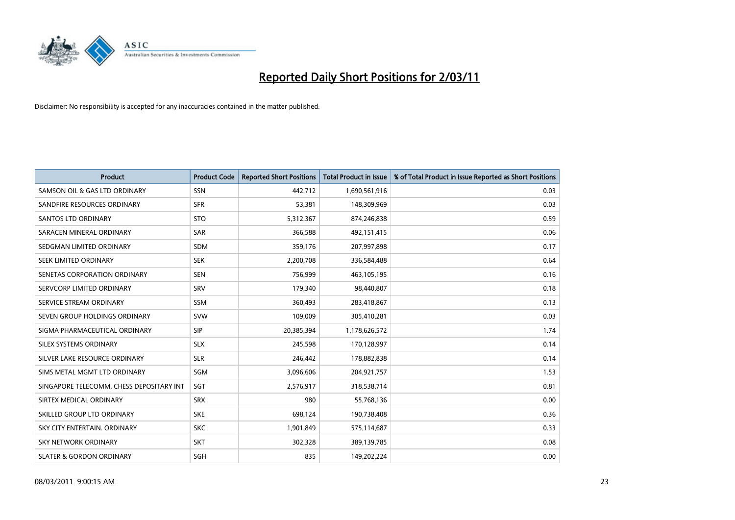

| <b>Product</b>                           | <b>Product Code</b> | <b>Reported Short Positions</b> | <b>Total Product in Issue</b> | % of Total Product in Issue Reported as Short Positions |
|------------------------------------------|---------------------|---------------------------------|-------------------------------|---------------------------------------------------------|
| SAMSON OIL & GAS LTD ORDINARY            | SSN                 | 442,712                         | 1,690,561,916                 | 0.03                                                    |
| SANDFIRE RESOURCES ORDINARY              | <b>SFR</b>          | 53,381                          | 148,309,969                   | 0.03                                                    |
| <b>SANTOS LTD ORDINARY</b>               | <b>STO</b>          | 5,312,367                       | 874,246,838                   | 0.59                                                    |
| SARACEN MINERAL ORDINARY                 | <b>SAR</b>          | 366,588                         | 492,151,415                   | 0.06                                                    |
| SEDGMAN LIMITED ORDINARY                 | <b>SDM</b>          | 359,176                         | 207,997,898                   | 0.17                                                    |
| SEEK LIMITED ORDINARY                    | <b>SEK</b>          | 2,200,708                       | 336,584,488                   | 0.64                                                    |
| SENETAS CORPORATION ORDINARY             | <b>SEN</b>          | 756,999                         | 463,105,195                   | 0.16                                                    |
| SERVCORP LIMITED ORDINARY                | SRV                 | 179,340                         | 98,440,807                    | 0.18                                                    |
| SERVICE STREAM ORDINARY                  | <b>SSM</b>          | 360,493                         | 283,418,867                   | 0.13                                                    |
| SEVEN GROUP HOLDINGS ORDINARY            | <b>SVW</b>          | 109,009                         | 305,410,281                   | 0.03                                                    |
| SIGMA PHARMACEUTICAL ORDINARY            | <b>SIP</b>          | 20,385,394                      | 1,178,626,572                 | 1.74                                                    |
| SILEX SYSTEMS ORDINARY                   | <b>SLX</b>          | 245,598                         | 170,128,997                   | 0.14                                                    |
| SILVER LAKE RESOURCE ORDINARY            | <b>SLR</b>          | 246,442                         | 178,882,838                   | 0.14                                                    |
| SIMS METAL MGMT LTD ORDINARY             | SGM                 | 3,096,606                       | 204,921,757                   | 1.53                                                    |
| SINGAPORE TELECOMM. CHESS DEPOSITARY INT | SGT                 | 2,576,917                       | 318,538,714                   | 0.81                                                    |
| SIRTEX MEDICAL ORDINARY                  | <b>SRX</b>          | 980                             | 55,768,136                    | 0.00                                                    |
| SKILLED GROUP LTD ORDINARY               | <b>SKE</b>          | 698,124                         | 190,738,408                   | 0.36                                                    |
| SKY CITY ENTERTAIN. ORDINARY             | <b>SKC</b>          | 1,901,849                       | 575,114,687                   | 0.33                                                    |
| SKY NETWORK ORDINARY                     | <b>SKT</b>          | 302,328                         | 389,139,785                   | 0.08                                                    |
| <b>SLATER &amp; GORDON ORDINARY</b>      | SGH                 | 835                             | 149,202,224                   | 0.00                                                    |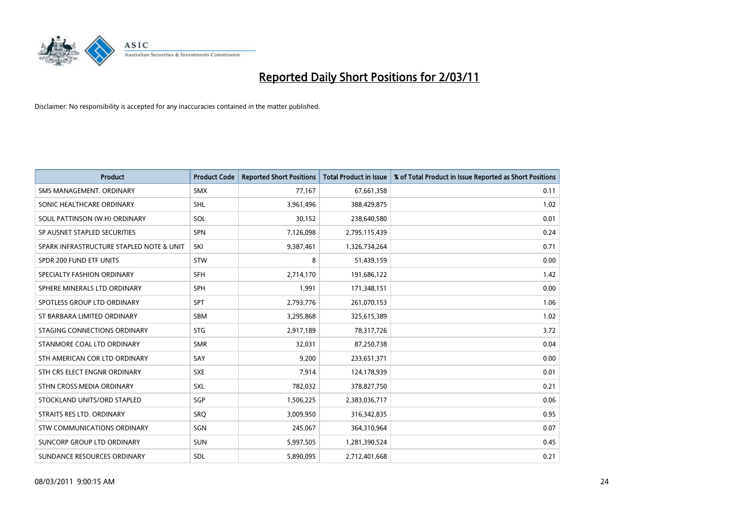

| <b>Product</b>                           | <b>Product Code</b> | <b>Reported Short Positions</b> | <b>Total Product in Issue</b> | % of Total Product in Issue Reported as Short Positions |
|------------------------------------------|---------------------|---------------------------------|-------------------------------|---------------------------------------------------------|
| SMS MANAGEMENT, ORDINARY                 | <b>SMX</b>          | 77,167                          | 67,661,358                    | 0.11                                                    |
| SONIC HEALTHCARE ORDINARY                | <b>SHL</b>          | 3,961,496                       | 388,429,875                   | 1.02                                                    |
| SOUL PATTINSON (W.H) ORDINARY            | SOL                 | 30,152                          | 238,640,580                   | 0.01                                                    |
| SP AUSNET STAPLED SECURITIES             | <b>SPN</b>          | 7,126,098                       | 2,795,115,439                 | 0.24                                                    |
| SPARK INFRASTRUCTURE STAPLED NOTE & UNIT | SKI                 | 9,387,461                       | 1,326,734,264                 | 0.71                                                    |
| SPDR 200 FUND ETF UNITS                  | STW                 | 8                               | 51,439,159                    | 0.00                                                    |
| SPECIALTY FASHION ORDINARY               | SFH                 | 2,714,170                       | 191,686,122                   | 1.42                                                    |
| SPHERE MINERALS LTD ORDINARY             | <b>SPH</b>          | 1,991                           | 171,348,151                   | 0.00                                                    |
| SPOTLESS GROUP LTD ORDINARY              | SPT                 | 2,793,776                       | 261,070,153                   | 1.06                                                    |
| ST BARBARA LIMITED ORDINARY              | SBM                 | 3,295,868                       | 325,615,389                   | 1.02                                                    |
| STAGING CONNECTIONS ORDINARY             | <b>STG</b>          | 2,917,189                       | 78,317,726                    | 3.72                                                    |
| STANMORE COAL LTD ORDINARY               | <b>SMR</b>          | 32,031                          | 87,250,738                    | 0.04                                                    |
| STH AMERICAN COR LTD ORDINARY            | SAY                 | 9,200                           | 233,651,371                   | 0.00                                                    |
| STH CRS ELECT ENGNR ORDINARY             | <b>SXE</b>          | 7,914                           | 124,178,939                   | 0.01                                                    |
| STHN CROSS MEDIA ORDINARY                | <b>SXL</b>          | 782,032                         | 378,827,750                   | 0.21                                                    |
| STOCKLAND UNITS/ORD STAPLED              | SGP                 | 1,506,225                       | 2,383,036,717                 | 0.06                                                    |
| STRAITS RES LTD. ORDINARY                | SRO                 | 3,009,950                       | 316,342,835                   | 0.95                                                    |
| STW COMMUNICATIONS ORDINARY              | SGN                 | 245,067                         | 364,310,964                   | 0.07                                                    |
| SUNCORP GROUP LTD ORDINARY               | <b>SUN</b>          | 5,997,505                       | 1,281,390,524                 | 0.45                                                    |
| SUNDANCE RESOURCES ORDINARY              | <b>SDL</b>          | 5,890,095                       | 2,712,401,668                 | 0.21                                                    |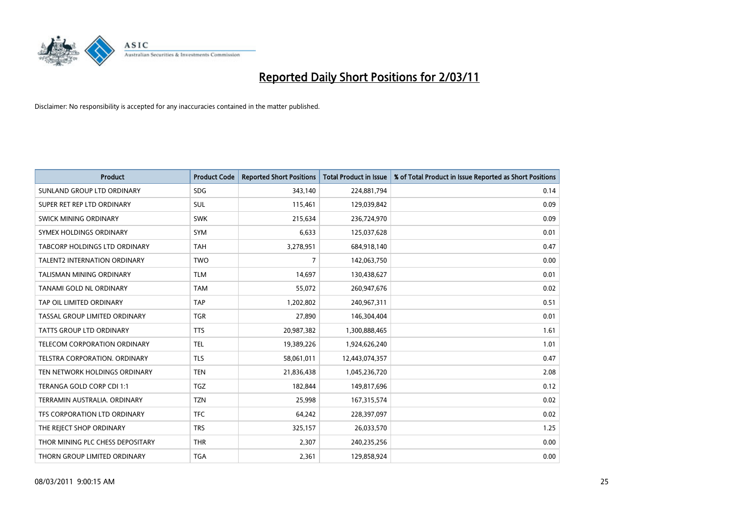

| <b>Product</b>                       | <b>Product Code</b> | <b>Reported Short Positions</b> | Total Product in Issue | % of Total Product in Issue Reported as Short Positions |
|--------------------------------------|---------------------|---------------------------------|------------------------|---------------------------------------------------------|
| SUNLAND GROUP LTD ORDINARY           | <b>SDG</b>          | 343,140                         | 224,881,794            | 0.14                                                    |
| SUPER RET REP LTD ORDINARY           | <b>SUL</b>          | 115,461                         | 129,039,842            | 0.09                                                    |
| <b>SWICK MINING ORDINARY</b>         | <b>SWK</b>          | 215,634                         | 236,724,970            | 0.09                                                    |
| SYMEX HOLDINGS ORDINARY              | <b>SYM</b>          | 6,633                           | 125,037,628            | 0.01                                                    |
| <b>TABCORP HOLDINGS LTD ORDINARY</b> | <b>TAH</b>          | 3,278,951                       | 684,918,140            | 0.47                                                    |
| <b>TALENT2 INTERNATION ORDINARY</b>  | <b>TWO</b>          | $\overline{7}$                  | 142,063,750            | 0.00                                                    |
| <b>TALISMAN MINING ORDINARY</b>      | <b>TLM</b>          | 14.697                          | 130,438,627            | 0.01                                                    |
| TANAMI GOLD NL ORDINARY              | <b>TAM</b>          | 55,072                          | 260,947,676            | 0.02                                                    |
| TAP OIL LIMITED ORDINARY             | <b>TAP</b>          | 1,202,802                       | 240,967,311            | 0.51                                                    |
| TASSAL GROUP LIMITED ORDINARY        | <b>TGR</b>          | 27.890                          | 146,304,404            | 0.01                                                    |
| <b>TATTS GROUP LTD ORDINARY</b>      | <b>TTS</b>          | 20,987,382                      | 1,300,888,465          | 1.61                                                    |
| <b>TELECOM CORPORATION ORDINARY</b>  | <b>TEL</b>          | 19,389,226                      | 1,924,626,240          | 1.01                                                    |
| <b>TELSTRA CORPORATION, ORDINARY</b> | <b>TLS</b>          | 58,061,011                      | 12,443,074,357         | 0.47                                                    |
| TEN NETWORK HOLDINGS ORDINARY        | <b>TEN</b>          | 21,836,438                      | 1,045,236,720          | 2.08                                                    |
| TERANGA GOLD CORP CDI 1:1            | <b>TGZ</b>          | 182,844                         | 149,817,696            | 0.12                                                    |
| TERRAMIN AUSTRALIA, ORDINARY         | <b>TZN</b>          | 25,998                          | 167,315,574            | 0.02                                                    |
| TFS CORPORATION LTD ORDINARY         | <b>TFC</b>          | 64,242                          | 228,397,097            | 0.02                                                    |
| THE REJECT SHOP ORDINARY             | <b>TRS</b>          | 325,157                         | 26,033,570             | 1.25                                                    |
| THOR MINING PLC CHESS DEPOSITARY     | <b>THR</b>          | 2,307                           | 240,235,256            | 0.00                                                    |
| THORN GROUP LIMITED ORDINARY         | <b>TGA</b>          | 2.361                           | 129,858,924            | 0.00                                                    |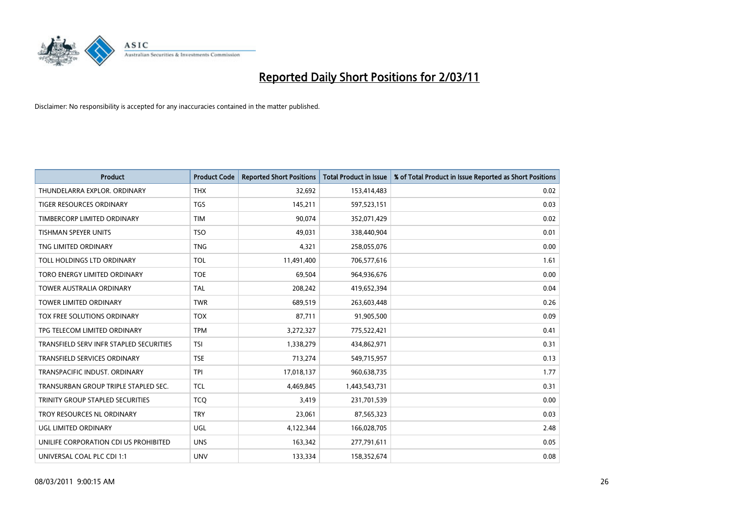

| <b>Product</b>                          | <b>Product Code</b> | <b>Reported Short Positions</b> | <b>Total Product in Issue</b> | % of Total Product in Issue Reported as Short Positions |
|-----------------------------------------|---------------------|---------------------------------|-------------------------------|---------------------------------------------------------|
| THUNDELARRA EXPLOR, ORDINARY            | <b>THX</b>          | 32,692                          | 153,414,483                   | 0.02                                                    |
| TIGER RESOURCES ORDINARY                | <b>TGS</b>          | 145,211                         | 597,523,151                   | 0.03                                                    |
| TIMBERCORP LIMITED ORDINARY             | <b>TIM</b>          | 90.074                          | 352,071,429                   | 0.02                                                    |
| TISHMAN SPEYER UNITS                    | <b>TSO</b>          | 49,031                          | 338,440,904                   | 0.01                                                    |
| TNG LIMITED ORDINARY                    | <b>TNG</b>          | 4,321                           | 258,055,076                   | 0.00                                                    |
| TOLL HOLDINGS LTD ORDINARY              | <b>TOL</b>          | 11,491,400                      | 706,577,616                   | 1.61                                                    |
| TORO ENERGY LIMITED ORDINARY            | <b>TOE</b>          | 69,504                          | 964,936,676                   | 0.00                                                    |
| <b>TOWER AUSTRALIA ORDINARY</b>         | <b>TAL</b>          | 208,242                         | 419,652,394                   | 0.04                                                    |
| <b>TOWER LIMITED ORDINARY</b>           | <b>TWR</b>          | 689,519                         | 263,603,448                   | 0.26                                                    |
| <b>TOX FREE SOLUTIONS ORDINARY</b>      | <b>TOX</b>          | 87,711                          | 91,905,500                    | 0.09                                                    |
| TPG TELECOM LIMITED ORDINARY            | <b>TPM</b>          | 3,272,327                       | 775,522,421                   | 0.41                                                    |
| TRANSFIELD SERV INFR STAPLED SECURITIES | <b>TSI</b>          | 1,338,279                       | 434,862,971                   | 0.31                                                    |
| TRANSFIELD SERVICES ORDINARY            | <b>TSE</b>          | 713,274                         | 549,715,957                   | 0.13                                                    |
| TRANSPACIFIC INDUST, ORDINARY           | <b>TPI</b>          | 17,018,137                      | 960,638,735                   | 1.77                                                    |
| TRANSURBAN GROUP TRIPLE STAPLED SEC.    | <b>TCL</b>          | 4,469,845                       | 1,443,543,731                 | 0.31                                                    |
| TRINITY GROUP STAPLED SECURITIES        | <b>TCO</b>          | 3,419                           | 231,701,539                   | 0.00                                                    |
| TROY RESOURCES NL ORDINARY              | <b>TRY</b>          | 23,061                          | 87,565,323                    | 0.03                                                    |
| UGL LIMITED ORDINARY                    | UGL                 | 4,122,344                       | 166,028,705                   | 2.48                                                    |
| UNILIFE CORPORATION CDI US PROHIBITED   | <b>UNS</b>          | 163,342                         | 277,791,611                   | 0.05                                                    |
| UNIVERSAL COAL PLC CDI 1:1              | <b>UNV</b>          | 133,334                         | 158,352,674                   | 0.08                                                    |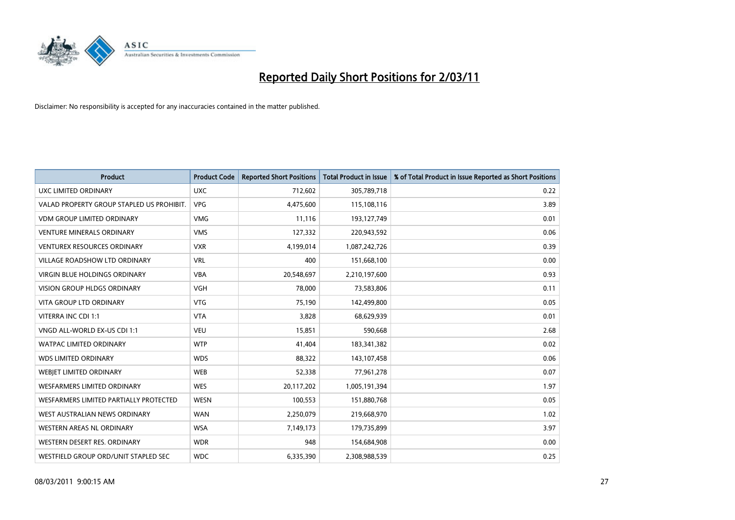

| <b>Product</b>                            | <b>Product Code</b> | <b>Reported Short Positions</b> | Total Product in Issue | % of Total Product in Issue Reported as Short Positions |
|-------------------------------------------|---------------------|---------------------------------|------------------------|---------------------------------------------------------|
| <b>UXC LIMITED ORDINARY</b>               | <b>UXC</b>          | 712,602                         | 305,789,718            | 0.22                                                    |
| VALAD PROPERTY GROUP STAPLED US PROHIBIT. | <b>VPG</b>          | 4,475,600                       | 115,108,116            | 3.89                                                    |
| <b>VDM GROUP LIMITED ORDINARY</b>         | <b>VMG</b>          | 11,116                          | 193,127,749            | 0.01                                                    |
| <b>VENTURE MINERALS ORDINARY</b>          | <b>VMS</b>          | 127,332                         | 220,943,592            | 0.06                                                    |
| <b>VENTUREX RESOURCES ORDINARY</b>        | <b>VXR</b>          | 4,199,014                       | 1,087,242,726          | 0.39                                                    |
| <b>VILLAGE ROADSHOW LTD ORDINARY</b>      | <b>VRL</b>          | 400                             | 151,668,100            | 0.00                                                    |
| <b>VIRGIN BLUE HOLDINGS ORDINARY</b>      | <b>VBA</b>          | 20,548,697                      | 2,210,197,600          | 0.93                                                    |
| <b>VISION GROUP HLDGS ORDINARY</b>        | <b>VGH</b>          | 78,000                          | 73,583,806             | 0.11                                                    |
| VITA GROUP LTD ORDINARY                   | <b>VTG</b>          | 75,190                          | 142,499,800            | 0.05                                                    |
| VITERRA INC CDI 1:1                       | <b>VTA</b>          | 3,828                           | 68,629,939             | 0.01                                                    |
| VNGD ALL-WORLD EX-US CDI 1:1              | <b>VEU</b>          | 15,851                          | 590,668                | 2.68                                                    |
| <b>WATPAC LIMITED ORDINARY</b>            | <b>WTP</b>          | 41,404                          | 183,341,382            | 0.02                                                    |
| <b>WDS LIMITED ORDINARY</b>               | <b>WDS</b>          | 88,322                          | 143,107,458            | 0.06                                                    |
| WEBIET LIMITED ORDINARY                   | <b>WEB</b>          | 52,338                          | 77,961,278             | 0.07                                                    |
| <b>WESFARMERS LIMITED ORDINARY</b>        | <b>WES</b>          | 20,117,202                      | 1,005,191,394          | 1.97                                                    |
| WESFARMERS LIMITED PARTIALLY PROTECTED    | <b>WESN</b>         | 100,553                         | 151,880,768            | 0.05                                                    |
| WEST AUSTRALIAN NEWS ORDINARY             | <b>WAN</b>          | 2,250,079                       | 219,668,970            | 1.02                                                    |
| WESTERN AREAS NL ORDINARY                 | <b>WSA</b>          | 7,149,173                       | 179,735,899            | 3.97                                                    |
| WESTERN DESERT RES. ORDINARY              | <b>WDR</b>          | 948                             | 154,684,908            | 0.00                                                    |
| WESTFIELD GROUP ORD/UNIT STAPLED SEC      | <b>WDC</b>          | 6,335,390                       | 2,308,988,539          | 0.25                                                    |